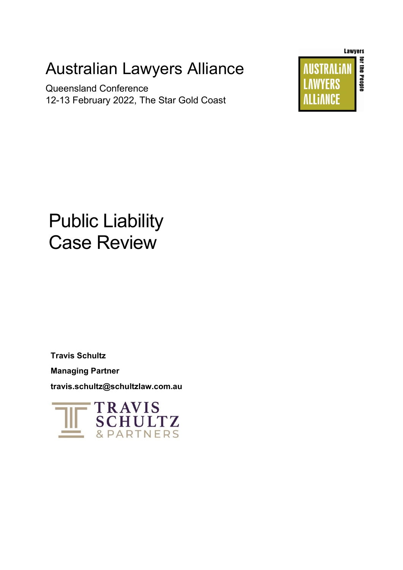# Australian Lawyers Alliance

Queensland Conference 12-13 February 2022, The Star Gold Coast



# Public Liability Case Review

**Travis Schultz** 

**Managing Partner**

**travis.schultz@schultzlaw.com.au**

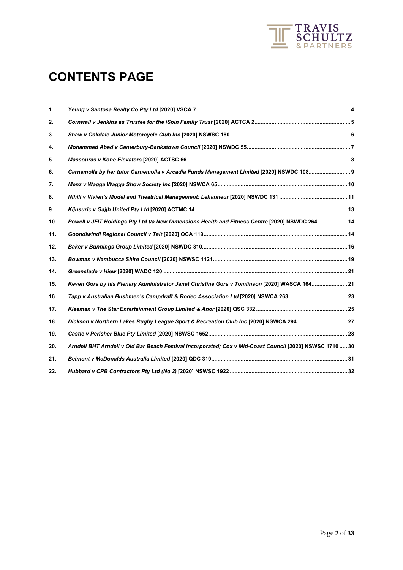

# **CONTENTS PAGE**

| 1.  |                                                                                                          |
|-----|----------------------------------------------------------------------------------------------------------|
| 2.  |                                                                                                          |
| 3.  |                                                                                                          |
| 4.  |                                                                                                          |
| 5.  |                                                                                                          |
| 6.  | Carnemolla by her tutor Carnemolla v Arcadia Funds Management Limited [2020] NSWDC 108 9                 |
| 7.  |                                                                                                          |
| 8.  |                                                                                                          |
| 9.  |                                                                                                          |
| 10. | Powell v JFIT Holdings Pty Ltd t/a New Dimensions Health and Fitness Centre [2020] NSWDC 264  14         |
| 11. |                                                                                                          |
| 12. |                                                                                                          |
| 13. |                                                                                                          |
| 14. |                                                                                                          |
| 15. | Keven Gors by his Plenary Administrator Janet Christine Gors v Tomlinson [2020] WASCA 164 21             |
| 16. | Tapp v Australian Bushmen's Campdraft & Rodeo Association Ltd [2020] NSWCA 263 23                        |
| 17. |                                                                                                          |
| 18. | Dickson v Northern Lakes Rugby League Sport & Recreation Club Inc [2020] NSWCA 294  27                   |
| 19. |                                                                                                          |
| 20. | Arndell BHT Arndell v Old Bar Beach Festival Incorporated; Cox v Mid-Coast Council [2020] NSWSC 1710  30 |
| 21. |                                                                                                          |
| 22. |                                                                                                          |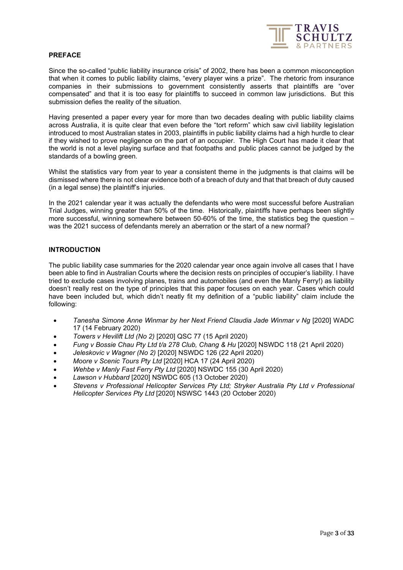

# **PREFACE**

Since the so-called "public liability insurance crisis" of 2002, there has been a common misconception that when it comes to public liability claims, "every player wins a prize". The rhetoric from insurance companies in their submissions to government consistently asserts that plaintiffs are "over compensated" and that it is too easy for plaintiffs to succeed in common law jurisdictions. But this submission defies the reality of the situation.

Having presented a paper every year for more than two decades dealing with public liability claims across Australia, it is quite clear that even before the "tort reform" which saw civil liability legislation introduced to most Australian states in 2003, plaintiffs in public liability claims had a high hurdle to clear if they wished to prove negligence on the part of an occupier. The High Court has made it clear that the world is not a level playing surface and that footpaths and public places cannot be judged by the standards of a bowling green.

Whilst the statistics vary from year to year a consistent theme in the judgments is that claims will be dismissed where there is not clear evidence both of a breach of duty and that that breach of duty caused (in a legal sense) the plaintiff's injuries.

In the 2021 calendar year it was actually the defendants who were most successful before Australian Trial Judges, winning greater than 50% of the time. Historically, plaintiffs have perhaps been slightly more successful, winning somewhere between 50-60% of the time, the statistics beg the question – was the 2021 success of defendants merely an aberration or the start of a new normal?

# **INTRODUCTION**

The public liability case summaries for the 2020 calendar year once again involve all cases that I have been able to find in Australian Courts where the decision rests on principles of occupier's liability. I have tried to exclude cases involving planes, trains and automobiles (and even the Manly Ferry!) as liability doesn't really rest on the type of principles that this paper focuses on each year. Cases which could have been included but, which didn't neatly fit my definition of a "public liability" claim include the following:

- *Tanesha Simone Anne Winmar by her Next Friend Claudia Jade Winmar v Ng* [2020] WADC 17 (14 February 2020)
- *Towers v Hevilift Ltd (No 2)* [2020] QSC 77 (15 April 2020)
- *Fung v Bossie Chau Pty Ltd t/a 278 Club, Chang & Hu* [2020] NSWDC 118 (21 April 2020)
- *Jeleskovic v Wagner (No 2)* [2020] NSWDC 126 (22 April 2020)
- *Moore v Scenic Tours Pty Ltd* [2020] HCA 17 (24 April 2020)
- *Wehbe v Manly Fast Ferry Pty Ltd* [2020] NSWDC 155 (30 April 2020)
- *Lawson v Hubbard* [2020] NSWDC 605 (13 October 2020)
- *Stevens v Professional Helicopter Services Pty Ltd; Stryker Australia Pty Ltd v Professional Helicopter Services Pty Ltd* [2020] NSWSC 1443 (20 October 2020)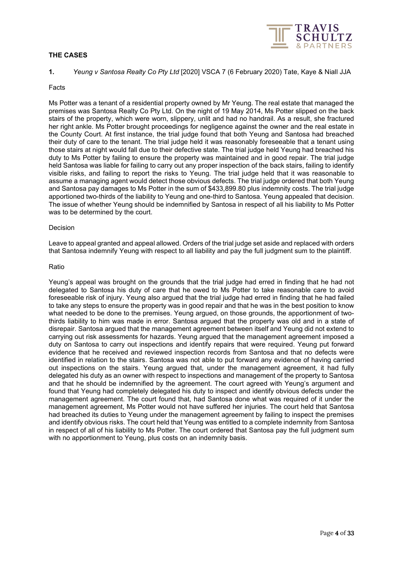# **THE CASES**



# <span id="page-3-0"></span>**1.** *Yeung v Santosa Realty Co Pty Ltd* [2020] VSCA 7 (6 February 2020) Tate, Kaye & Niall JJA

# Facts

Ms Potter was a tenant of a residential property owned by Mr Yeung. The real estate that managed the premises was Santosa Realty Co Pty Ltd. On the night of 19 May 2014, Ms Potter slipped on the back stairs of the property, which were worn, slippery, unlit and had no handrail. As a result, she fractured her right ankle. Ms Potter brought proceedings for negligence against the owner and the real estate in the County Court. At first instance, the trial judge found that both Yeung and Santosa had breached their duty of care to the tenant. The trial judge held it was reasonably foreseeable that a tenant using those stairs at night would fall due to their defective state. The trial judge held Yeung had breached his duty to Ms Potter by failing to ensure the property was maintained and in good repair. The trial judge held Santosa was liable for failing to carry out any proper inspection of the back stairs, failing to identify visible risks, and failing to report the risks to Yeung. The trial judge held that it was reasonable to assume a managing agent would detect those obvious defects. The trial judge ordered that both Yeung and Santosa pay damages to Ms Potter in the sum of \$433,899.80 plus indemnity costs. The trial judge apportioned two-thirds of the liability to Yeung and one-third to Santosa. Yeung appealed that decision. The issue of whether Yeung should be indemnified by Santosa in respect of all his liability to Ms Potter was to be determined by the court.

# Decision

Leave to appeal granted and appeal allowed. Orders of the trial judge set aside and replaced with orders that Santosa indemnify Yeung with respect to all liability and pay the full judgment sum to the plaintiff.

# Ratio

Yeung's appeal was brought on the grounds that the trial judge had erred in finding that he had not delegated to Santosa his duty of care that he owed to Ms Potter to take reasonable care to avoid foreseeable risk of injury. Yeung also argued that the trial judge had erred in finding that he had failed to take any steps to ensure the property was in good repair and that he was in the best position to know what needed to be done to the premises. Yeung argued, on those grounds, the apportionment of twothirds liability to him was made in error. Santosa argued that the property was old and in a state of disrepair. Santosa argued that the management agreement between itself and Yeung did not extend to carrying out risk assessments for hazards. Yeung argued that the management agreement imposed a duty on Santosa to carry out inspections and identify repairs that were required. Yeung put forward evidence that he received and reviewed inspection records from Santosa and that no defects were identified in relation to the stairs. Santosa was not able to put forward any evidence of having carried out inspections on the stairs. Yeung argued that, under the management agreement, it had fully delegated his duty as an owner with respect to inspections and management of the property to Santosa and that he should be indemnified by the agreement. The court agreed with Yeung's argument and found that Yeung had completely delegated his duty to inspect and identify obvious defects under the management agreement. The court found that, had Santosa done what was required of it under the management agreement, Ms Potter would not have suffered her injuries. The court held that Santosa had breached its duties to Yeung under the management agreement by failing to inspect the premises and identify obvious risks. The court held that Yeung was entitled to a complete indemnity from Santosa in respect of all of his liability to Ms Potter. The court ordered that Santosa pay the full judgment sum with no apportionment to Yeung, plus costs on an indemnity basis.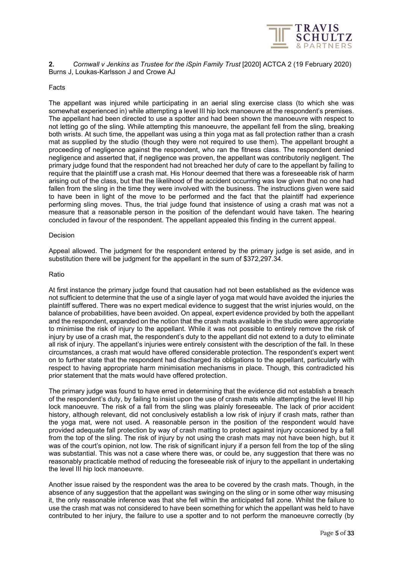

<span id="page-4-0"></span>**2.** *Cornwall v Jenkins as Trustee for the iSpin Family Trust* [2020] ACTCA 2 (19 February 2020) Burns J, Loukas-Karlsson J and Crowe AJ

# Facts

The appellant was injured while participating in an aerial sling exercise class (to which she was somewhat experienced in) while attempting a level III hip lock manoeuvre at the respondent's premises. The appellant had been directed to use a spotter and had been shown the manoeuvre with respect to not letting go of the sling. While attempting this manoeuvre, the appellant fell from the sling, breaking both wrists. At such time, the appellant was using a thin yoga mat as fall protection rather than a crash mat as supplied by the studio (though they were not required to use them). The appellant brought a proceeding of negligence against the respondent, who ran the fitness class. The respondent denied negligence and asserted that, if negligence was proven, the appellant was contributorily negligent. The primary judge found that the respondent had not breached her duty of care to the appellant by failing to require that the plaintiff use a crash mat. His Honour deemed that there was a foreseeable risk of harm arising out of the class, but that the likelihood of the accident occurring was low given that no one had fallen from the sling in the time they were involved with the business. The instructions given were said to have been in light of the move to be performed and the fact that the plaintiff had experience performing sling moves. Thus, the trial judge found that insistence of using a crash mat was not a measure that a reasonable person in the position of the defendant would have taken. The hearing concluded in favour of the respondent. The appellant appealed this finding in the current appeal.

#### Decision

Appeal allowed. The judgment for the respondent entered by the primary judge is set aside, and in substitution there will be judgment for the appellant in the sum of \$372,297.34.

#### Ratio

At first instance the primary judge found that causation had not been established as the evidence was not sufficient to determine that the use of a single layer of yoga mat would have avoided the injuries the plaintiff suffered. There was no expert medical evidence to suggest that the wrist injuries would, on the balance of probabilities, have been avoided. On appeal, expert evidence provided by both the appellant and the respondent, expanded on the notion that the crash mats available in the studio were appropriate to minimise the risk of injury to the appellant. While it was not possible to entirely remove the risk of injury by use of a crash mat, the respondent's duty to the appellant did not extend to a duty to eliminate all risk of injury. The appellant's injuries were entirely consistent with the description of the fall. In these circumstances, a crash mat would have offered considerable protection. The respondent's expert went on to further state that the respondent had discharged its obligations to the appellant, particularly with respect to having appropriate harm minimisation mechanisms in place. Though, this contradicted his prior statement that the mats would have offered protection.

The primary judge was found to have erred in determining that the evidence did not establish a breach of the respondent's duty, by failing to insist upon the use of crash mats while attempting the level III hip lock manoeuvre. The risk of a fall from the sling was plainly foreseeable. The lack of prior accident history, although relevant, did not conclusively establish a low risk of injury if crash mats, rather than the yoga mat, were not used. A reasonable person in the position of the respondent would have provided adequate fall protection by way of crash matting to protect against injury occasioned by a fall from the top of the sling. The risk of injury by not using the crash mats may not have been high, but it was of the court's opinion, not low. The risk of significant injury if a person fell from the top of the sling was substantial. This was not a case where there was, or could be, any suggestion that there was no reasonably practicable method of reducing the foreseeable risk of injury to the appellant in undertaking the level III hip lock manoeuvre.

Another issue raised by the respondent was the area to be covered by the crash mats. Though, in the absence of any suggestion that the appellant was swinging on the sling or in some other way misusing it, the only reasonable inference was that she fell within the anticipated fall zone. Whilst the failure to use the crash mat was not considered to have been something for which the appellant was held to have contributed to her injury, the failure to use a spotter and to not perform the manoeuvre correctly (by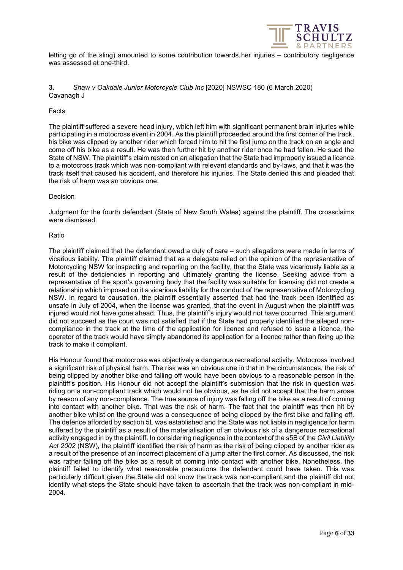

letting go of the sling) amounted to some contribution towards her injuries – contributory negligence was assessed at one-third.

# <span id="page-5-0"></span>**3.** *Shaw v Oakdale Junior Motorcycle Club Inc* [2020] NSWSC 180 (6 March 2020) Cavanagh J

# Facts

The plaintiff suffered a severe head injury, which left him with significant permanent brain injuries while participating in a motocross event in 2004. As the plaintiff proceeded around the first corner of the track, his bike was clipped by another rider which forced him to hit the first jump on the track on an angle and come off his bike as a result. He was then further hit by another rider once he had fallen. He sued the State of NSW. The plaintiff's claim rested on an allegation that the State had improperly issued a licence to a motocross track which was non-compliant with relevant standards and by-laws, and that it was the track itself that caused his accident, and therefore his injuries. The State denied this and pleaded that the risk of harm was an obvious one.

# Decision

Judgment for the fourth defendant (State of New South Wales) against the plaintiff. The crossclaims were dismissed.

# Ratio

The plaintiff claimed that the defendant owed a duty of care – such allegations were made in terms of vicarious liability. The plaintiff claimed that as a delegate relied on the opinion of the representative of Motorcycling NSW for inspecting and reporting on the facility, that the State was vicariously liable as a result of the deficiencies in reporting and ultimately granting the license. Seeking advice from a representative of the sport's governing body that the facility was suitable for licensing did not create a relationship which imposed on it a vicarious liability for the conduct of the representative of Motorcycling NSW. In regard to causation, the plaintiff essentially asserted that had the track been identified as unsafe in July of 2004, when the license was granted, that the event in August when the plaintiff was injured would not have gone ahead. Thus, the plaintiff's injury would not have occurred. This argument did not succeed as the court was not satisfied that if the State had properly identified the alleged noncompliance in the track at the time of the application for licence and refused to issue a licence, the operator of the track would have simply abandoned its application for a licence rather than fixing up the track to make it compliant.

His Honour found that motocross was objectively a dangerous recreational activity. Motocross involved a significant risk of physical harm. The risk was an obvious one in that in the circumstances, the risk of being clipped by another bike and falling off would have been obvious to a reasonable person in the plaintiff's position. His Honour did not accept the plaintiff's submission that the risk in question was riding on a non-compliant track which would not be obvious, as he did not accept that the harm arose by reason of any non-compliance. The true source of injury was falling off the bike as a result of coming into contact with another bike. That was the risk of harm. The fact that the plaintiff was then hit by another bike whilst on the ground was a consequence of being clipped by the first bike and falling off. The defence afforded by section 5L was established and the State was not liable in negligence for harm suffered by the plaintiff as a result of the materialisation of an obvious risk of a dangerous recreational activity engaged in by the plaintiff. In considering negligence in the context of the s5B of the *Civil Liability Act 2002* (NSW), the plaintiff identified the risk of harm as the risk of being clipped by another rider as a result of the presence of an incorrect placement of a jump after the first corner. As discussed, the risk was rather falling off the bike as a result of coming into contact with another bike. Nonetheless, the plaintiff failed to identify what reasonable precautions the defendant could have taken. This was particularly difficult given the State did not know the track was non-compliant and the plaintiff did not identify what steps the State should have taken to ascertain that the track was non-compliant in mid-2004.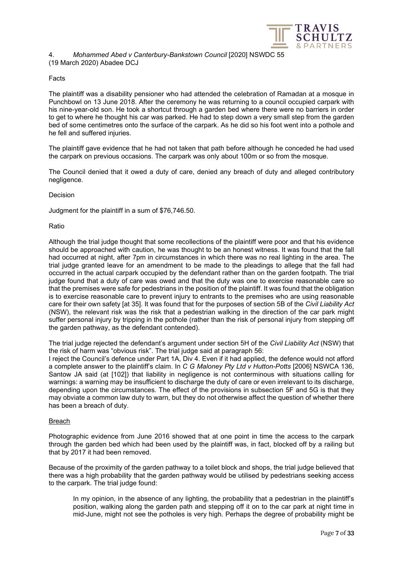

# <span id="page-6-0"></span>4. *Mohammed Abed v Canterbury-Bankstown Council* [2020] NSWDC 55 (19 March 2020) Abadee DCJ

# Facts

The plaintiff was a disability pensioner who had attended the celebration of Ramadan at a mosque in Punchbowl on 13 June 2018. After the ceremony he was returning to a council occupied carpark with his nine-year-old son. He took a shortcut through a garden bed where there were no barriers in order to get to where he thought his car was parked. He had to step down a very small step from the garden bed of some centimetres onto the surface of the carpark. As he did so his foot went into a pothole and he fell and suffered injuries.

The plaintiff gave evidence that he had not taken that path before although he conceded he had used the carpark on previous occasions. The carpark was only about 100m or so from the mosque.

The Council denied that it owed a duty of care, denied any breach of duty and alleged contributory negligence.

# Decision

Judgment for the plaintiff in a sum of \$76,746.50.

# Ratio

Although the trial judge thought that some recollections of the plaintiff were poor and that his evidence should be approached with caution, he was thought to be an honest witness. It was found that the fall had occurred at night, after 7pm in circumstances in which there was no real lighting in the area. The trial judge granted leave for an amendment to be made to the pleadings to allege that the fall had occurred in the actual carpark occupied by the defendant rather than on the garden footpath. The trial judge found that a duty of care was owed and that the duty was one to exercise reasonable care so that the premises were safe for pedestrians in the position of the plaintiff. It was found that the obligation is to exercise reasonable care to prevent injury to entrants to the premises who are using reasonable care for their own safety [at 35]. It was found that for the purposes of section 5B of the *Civil Liability Act* (NSW), the relevant risk was the risk that a pedestrian walking in the direction of the car park might suffer personal injury by tripping in the pothole (rather than the risk of personal injury from stepping off the garden pathway, as the defendant contended).

The trial judge rejected the defendant's argument under section 5H of the *Civil Liability Act* (NSW) that the risk of harm was "obvious risk". The trial judge said at paragraph 56:

I reject the Council's defence under Part 1A, Div 4. Even if it had applied, the defence would not afford a complete answer to the plaintiff's claim. In *C G Maloney Pty Ltd v Hutton-Potts* [2006] NSWCA 136, Santow JA said (at [102]) that liability in negligence is not conterminous with situations calling for warnings: a warning may be insufficient to discharge the duty of care or even irrelevant to its discharge, depending upon the circumstances. The effect of the provisions in subsection 5F and 5G is that they may obviate a common law duty to warn, but they do not otherwise affect the question of whether there has been a breach of duty.

# Breach

Photographic evidence from June 2016 showed that at one point in time the access to the carpark through the garden bed which had been used by the plaintiff was, in fact, blocked off by a railing but that by 2017 it had been removed.

Because of the proximity of the garden pathway to a toilet block and shops, the trial judge believed that there was a high probability that the garden pathway would be utilised by pedestrians seeking access to the carpark. The trial judge found:

In my opinion, in the absence of any lighting, the probability that a pedestrian in the plaintiff's position, walking along the garden path and stepping off it on to the car park at night time in mid-June, might not see the potholes is very high. Perhaps the degree of probability might be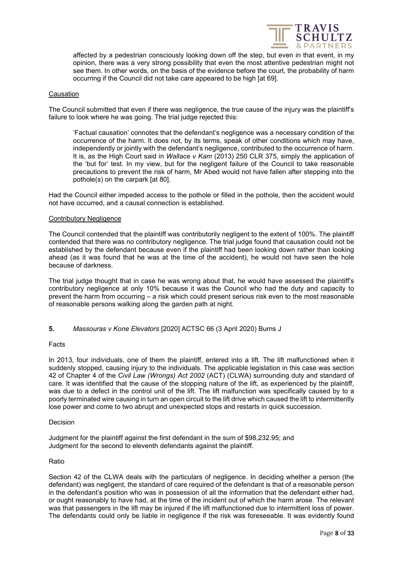

affected by a pedestrian consciously looking down off the step, but even in that event, in my opinion, there was a very strong possibility that even the most attentive pedestrian might not see them. In other words, on the basis of the evidence before the court, the probability of harm occurring if the Council did not take care appeared to be high [at 69].

# **Causation**

The Council submitted that even if there was negligence, the true cause of the injury was the plaintiff's failure to look where he was going. The trial judge rejected this:

'Factual causation' connotes that the defendant's negligence was a necessary condition of the occurrence of the harm. It does not, by its terms, speak of other conditions which may have, independently or jointly with the defendant's negligence, contributed to the occurrence of harm. It is, as the High Court said in *Wallace v Kam* (2013) 250 CLR 375, simply the application of the 'but for' test. In my view, but for the negligent failure of the Council to take reasonable precautions to prevent the risk of harm, Mr Abed would not have fallen after stepping into the pothole(s) on the carpark [at 80].

Had the Council either impeded access to the pothole or filled in the pothole, then the accident would not have occurred, and a causal connection is established.

# Contributory Negligence

The Council contended that the plaintiff was contributorily negligent to the extent of 100%. The plaintiff contended that there was no contributory negligence. The trial judge found that causation could not be established by the defendant because even if the plaintiff had been looking down rather than looking ahead (as it was found that he was at the time of the accident), he would not have seen the hole because of darkness.

The trial judge thought that in case he was wrong about that, he would have assessed the plaintiff's contributory negligence at only 10% because it was the Council who had the duty and capacity to prevent the harm from occurring – a risk which could present serious risk even to the most reasonable of reasonable persons walking along the garden path at night.

# <span id="page-7-0"></span>**5.** *Massouras v Kone Elevators* [2020] ACTSC 66 (3 April 2020) Burns J

# Facts

In 2013, four individuals, one of them the plaintiff, entered into a lift. The lift malfunctioned when it suddenly stopped, causing injury to the individuals. The applicable legislation in this case was section 42 of Chapter 4 of the *Civil Law (Wrongs) Act 2002* (ACT) (CLWA) surrounding duty and standard of care. It was identified that the cause of the stopping nature of the lift, as experienced by the plaintiff, was due to a defect in the control unit of the lift. The lift malfunction was specifically caused by to a poorly terminated wire causing in turn an open circuit to the lift drive which caused the lift to intermittently lose power and come to two abrupt and unexpected stops and restarts in quick succession.

# Decision

Judgment for the plaintiff against the first defendant in the sum of \$98,232.95; and Judgment for the second to eleventh defendants against the plaintiff.

# Ratio

Section 42 of the CLWA deals with the particulars of negligence. In deciding whether a person (the defendant) was negligent, the standard of care required of the defendant is that of a reasonable person in the defendant's position who was in possession of all the information that the defendant either had, or ought reasonably to have had, at the time of the incident out of which the harm arose. The relevant was that passengers in the lift may be injured if the lift malfunctioned due to intermittent loss of power. The defendants could only be liable in negligence if the risk was foreseeable. It was evidently found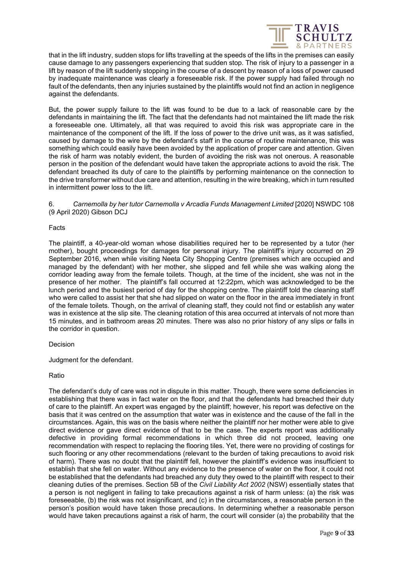

that in the lift industry, sudden stops for lifts travelling at the speeds of the lifts in the premises can easily cause damage to any passengers experiencing that sudden stop. The risk of injury to a passenger in a lift by reason of the lift suddenly stopping in the course of a descent by reason of a loss of power caused by inadequate maintenance was clearly a foreseeable risk. If the power supply had failed through no fault of the defendants, then any injuries sustained by the plaintiffs would not find an action in negligence against the defendants.

But, the power supply failure to the lift was found to be due to a lack of reasonable care by the defendants in maintaining the lift. The fact that the defendants had not maintained the lift made the risk a foreseeable one. Ultimately, all that was required to avoid this risk was appropriate care in the maintenance of the component of the lift. If the loss of power to the drive unit was, as it was satisfied, caused by damage to the wire by the defendant's staff in the course of routine maintenance, this was something which could easily have been avoided by the application of proper care and attention. Given the risk of harm was notably evident, the burden of avoiding the risk was not onerous. A reasonable person in the position of the defendant would have taken the appropriate actions to avoid the risk. The defendant breached its duty of care to the plaintiffs by performing maintenance on the connection to the drive transformer without due care and attention, resulting in the wire breaking, which in turn resulted in intermittent power loss to the lift.

<span id="page-8-0"></span>6. *Carnemolla by her tutor Carnemolla v Arcadia Funds Management Limited* [2020] NSWDC 108 (9 April 2020) Gibson DCJ

# Facts

The plaintiff, a 40-year-old woman whose disabilities required her to be represented by a tutor (her mother), bought proceedings for damages for personal injury. The plaintiff's injury occurred on 29 September 2016, when while visiting Neeta City Shopping Centre (premises which are occupied and managed by the defendant) with her mother, she slipped and fell while she was walking along the corridor leading away from the female toilets. Though, at the time of the incident, she was not in the presence of her mother. The plaintiff's fall occurred at 12:22pm, which was acknowledged to be the lunch period and the busiest period of day for the shopping centre. The plaintiff told the cleaning staff who were called to assist her that she had slipped on water on the floor in the area immediately in front of the female toilets. Though, on the arrival of cleaning staff, they could not find or establish any water was in existence at the slip site. The cleaning rotation of this area occurred at intervals of not more than 15 minutes, and in bathroom areas 20 minutes. There was also no prior history of any slips or falls in the corridor in question.

# Decision

Judgment for the defendant.

# Ratio

The defendant's duty of care was not in dispute in this matter. Though, there were some deficiencies in establishing that there was in fact water on the floor, and that the defendants had breached their duty of care to the plaintiff. An expert was engaged by the plaintiff; however, his report was defective on the basis that it was centred on the assumption that water was in existence and the cause of the fall in the circumstances. Again, this was on the basis where neither the plaintiff nor her mother were able to give direct evidence or gave direct evidence of that to be the case. The experts report was additionally defective in providing formal recommendations in which three did not proceed, leaving one recommendation with respect to replacing the flooring tiles. Yet, there were no providing of costings for such flooring or any other recommendations (relevant to the burden of taking precautions to avoid risk of harm). There was no doubt that the plaintiff fell, however the plaintiff's evidence was insufficient to establish that she fell on water. Without any evidence to the presence of water on the floor, it could not be established that the defendants had breached any duty they owed to the plaintiff with respect to their cleaning duties of the premises. Section 5B of the *Civil Liability Act 2002* (NSW) essentially states that a person is not negligent in failing to take precautions against a risk of harm unless: (a) the risk was foreseeable, (b) the risk was not insignificant, and (c) in the circumstances, a reasonable person in the person's position would have taken those precautions. In determining whether a reasonable person would have taken precautions against a risk of harm, the court will consider (a) the probability that the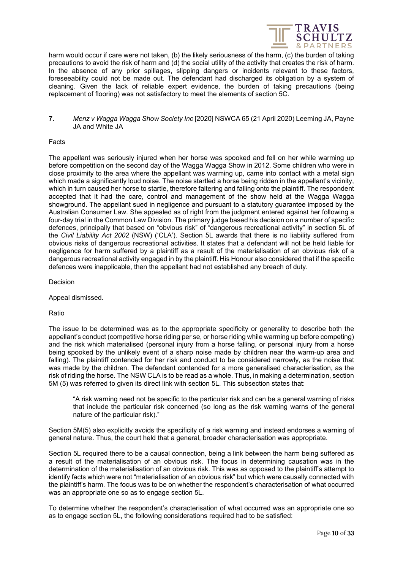

harm would occur if care were not taken, (b) the likely seriousness of the harm, (c) the burden of taking precautions to avoid the risk of harm and (d) the social utility of the activity that creates the risk of harm. In the absence of any prior spillages, slipping dangers or incidents relevant to these factors, foreseeability could not be made out. The defendant had discharged its obligation by a system of cleaning. Given the lack of reliable expert evidence, the burden of taking precautions (being replacement of flooring) was not satisfactory to meet the elements of section 5C.

<span id="page-9-0"></span>**7.** *Menz v Wagga Wagga Show Society Inc* [2020] NSWCA 65 (21 April 2020) Leeming JA, Payne JA and White JA

#### Facts

The appellant was seriously injured when her horse was spooked and fell on her while warming up before competition on the second day of the Wagga Wagga Show in 2012. Some children who were in close proximity to the area where the appellant was warming up, came into contact with a metal sign which made a significantly loud noise. The noise startled a horse being ridden in the appellant's vicinity, which in turn caused her horse to startle, therefore faltering and falling onto the plaintiff. The respondent accepted that it had the care, control and management of the show held at the Wagga Wagga showground. The appellant sued in negligence and pursuant to a statutory guarantee imposed by the Australian Consumer Law. She appealed as of right from the judgment entered against her following a four-day trial in the Common Law Division. The primary judge based his decision on a number of specific defences, principally that based on "obvious risk" of "dangerous recreational activity" in section 5L of the *Civil Liability Act 2002* (NSW) ('CLA'). Section 5L awards that there is no liability suffered from obvious risks of dangerous recreational activities. It states that a defendant will not be held liable for negligence for harm suffered by a plaintiff as a result of the materialisation of an obvious risk of a dangerous recreational activity engaged in by the plaintiff. His Honour also considered that if the specific defences were inapplicable, then the appellant had not established any breach of duty.

**Decision** 

Appeal dismissed.

Ratio

The issue to be determined was as to the appropriate specificity or generality to describe both the appellant's conduct (competitive horse riding per se, or horse riding while warming up before competing) and the risk which materialised (personal injury from a horse falling, or personal injury from a horse being spooked by the unlikely event of a sharp noise made by children near the warm-up area and falling). The plaintiff contended for her risk and conduct to be considered narrowly, as the noise that was made by the children. The defendant contended for a more generalised characterisation, as the risk of riding the horse. The NSW CLA is to be read as a whole. Thus, in making a determination, section 5M (5) was referred to given its direct link with section 5L. This subsection states that:

"A risk warning need not be specific to the particular risk and can be a general warning of risks that include the particular risk concerned (so long as the risk warning warns of the general nature of the particular risk)."

Section 5M(5) also explicitly avoids the specificity of a risk warning and instead endorses a warning of general nature. Thus, the court held that a general, broader characterisation was appropriate.

Section 5L required there to be a causal connection, being a link between the harm being suffered as a result of the materialisation of an obvious risk. The focus in determining causation was in the determination of the materialisation of an obvious risk. This was as opposed to the plaintiff's attempt to identify facts which were not "materialisation of an obvious risk" but which were causally connected with the plaintiff's harm. The focus was to be on whether the respondent's characterisation of what occurred was an appropriate one so as to engage section 5L.

To determine whether the respondent's characterisation of what occurred was an appropriate one so as to engage section 5L, the following considerations required had to be satisfied: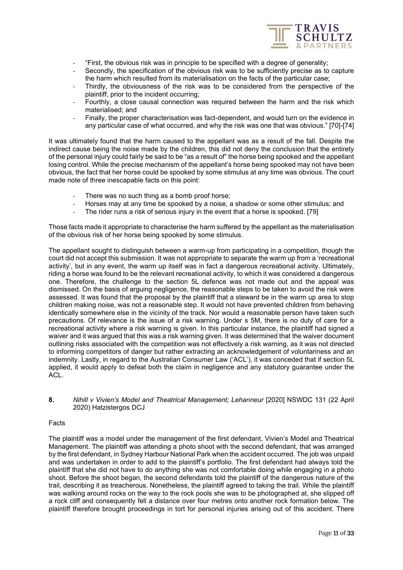

- "First, the obvious risk was in principle to be specified with a degree of generality;
- Secondly, the specification of the obvious risk was to be sufficiently precise as to capture the harm which resulted from its materialisation on the facts of the particular case;
- Thirdly, the obviousness of the risk was to be considered from the perspective of the plaintiff, prior to the incident occurring;
- Fourthly, a close causal connection was required between the harm and the risk which materialised; and
- Finally, the proper characterisation was fact-dependent, and would turn on the evidence in any particular case of what occurred, and why the risk was one that was obvious." [70]-[74]

It was ultimately found that the harm caused to the appellant was as a result of the fall. Despite the indirect cause being the noise made by the children, this did not deny the conclusion that the entirety of the personal injury could fairly be said to be "as a result of" the horse being spooked and the appellant losing control. While the precise mechanism of the appellant's horse being spooked may not have been obvious, the fact that her horse could be spooked by some stimulus at any time was obvious. The court made note of three inescapable facts on this point:

- There was no such thing as a bomb proof horse;
- Horses may at any time be spooked by a noise, a shadow or some other stimulus; and
- The rider runs a risk of serious injury in the event that a horse is spooked. [79]

Those facts made it appropriate to characterise the harm suffered by the appellant as the materialisation of the obvious risk of her horse being spooked by some stimulus.

The appellant sought to distinguish between a warm-up from participating in a competition, though the court did not accept this submission. It was not appropriate to separate the warm up from a 'recreational activity', but in any event, the warm up itself was in fact a dangerous recreational activity. Ultimately, riding a horse was found to be the relevant recreational activity, to which it was considered a dangerous one. Therefore, the challenge to the section 5L defence was not made out and the appeal was dismissed. On the basis of arguing negligence, the reasonable steps to be taken to avoid the risk were assessed. It was found that the proposal by the plaintiff that a steward be in the warm up area to stop children making noise, was not a reasonable step. It would not have prevented children from behaving identically somewhere else in the vicinity of the track. Nor would a reasonable person have taken such precautions. Of relevance is the issue of a risk warning. Under s 5M, there is no duty of care for a recreational activity where a risk warning is given. In this particular instance, the plaintiff had signed a waiver and it was argued that this was a risk warning given. It was determined that the waiver document outlining risks associated with the competition was not effectively a risk warning, as it was not directed to informing competitors of danger but rather extracting an acknowledgement of voluntariness and an indemnity. Lastly, in regard to the Australian Consumer Law ('ACL'), it was conceded that if section 5L applied, it would apply to defeat both the claim in negligence and any statutory guarantee under the ACL.

# <span id="page-10-0"></span>**8.** *Nihill v Vivien's Model and Theatrical Management; Lehanneur* [2020] NSWDC 131 (22 April 2020) Hatzistergos DCJ

# Facts

The plaintiff was a model under the management of the first defendant, Vivien's Model and Theatrical Management. The plaintiff was attending a photo shoot with the second defendant, that was arranged by the first defendant, in Sydney Harbour National Park when the accident occurred. The job was unpaid and was undertaken in order to add to the plaintiff's portfolio. The first defendant had always told the plaintiff that she did not have to do anything she was not comfortable doing while engaging in a photo shoot. Before the shoot began, the second defendants told the plaintiff of the dangerous nature of the trail, describing it as treacherous. Nonetheless, the plaintiff agreed to taking the trail. While the plaintiff was walking around rocks on the way to the rock pools she was to be photographed at, she slipped off a rock cliff and consequently fell a distance over four metres onto another rock formation below. The plaintiff therefore brought proceedings in tort for personal injuries arising out of this accident. There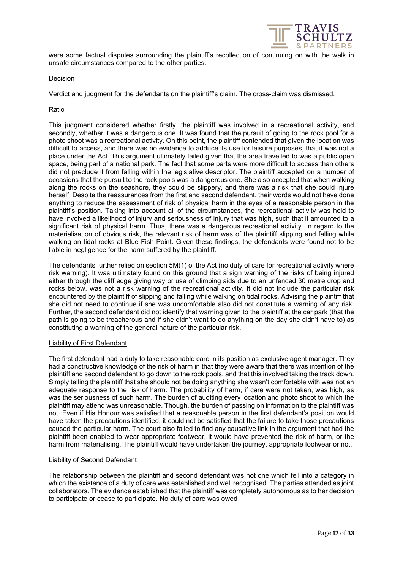

were some factual disputes surrounding the plaintiff's recollection of continuing on with the walk in unsafe circumstances compared to the other parties.

# Decision

Verdict and judgment for the defendants on the plaintiff's claim. The cross-claim was dismissed.

# Ratio

This judgment considered whether firstly, the plaintiff was involved in a recreational activity, and secondly, whether it was a dangerous one. It was found that the pursuit of going to the rock pool for a photo shoot was a recreational activity. On this point, the plaintiff contended that given the location was difficult to access, and there was no evidence to adduce its use for leisure purposes, that it was not a place under the Act. This argument ultimately failed given that the area travelled to was a public open space, being part of a national park. The fact that some parts were more difficult to access than others did not preclude it from falling within the legislative descriptor. The plaintiff accepted on a number of occasions that the pursuit to the rock pools was a dangerous one. She also accepted that when walking along the rocks on the seashore, they could be slippery, and there was a risk that she could injure herself. Despite the reassurances from the first and second defendant, their words would not have done anything to reduce the assessment of risk of physical harm in the eyes of a reasonable person in the plaintiff's position. Taking into account all of the circumstances, the recreational activity was held to have involved a likelihood of injury and seriousness of injury that was high, such that it amounted to a significant risk of physical harm. Thus, there was a dangerous recreational activity. In regard to the materialisation of obvious risk, the relevant risk of harm was of the plaintiff slipping and falling while walking on tidal rocks at Blue Fish Point. Given these findings, the defendants were found not to be liable in negligence for the harm suffered by the plaintiff.

The defendants further relied on section 5M(1) of the Act (no duty of care for recreational activity where risk warning). It was ultimately found on this ground that a sign warning of the risks of being injured either through the cliff edge giving way or use of climbing aids due to an unfenced 30 metre drop and rocks below, was not a risk warning of the recreational activity. It did not include the particular risk encountered by the plaintiff of slipping and falling while walking on tidal rocks. Advising the plaintiff that she did not need to continue if she was uncomfortable also did not constitute a warning of any risk. Further, the second defendant did not identify that warning given to the plaintiff at the car park (that the path is going to be treacherous and if she didn't want to do anything on the day she didn't have to) as constituting a warning of the general nature of the particular risk.

# Liability of First Defendant

The first defendant had a duty to take reasonable care in its position as exclusive agent manager. They had a constructive knowledge of the risk of harm in that they were aware that there was intention of the plaintiff and second defendant to go down to the rock pools, and that this involved taking the track down. Simply telling the plaintiff that she should not be doing anything she wasn't comfortable with was not an adequate response to the risk of harm. The probability of harm, if care were not taken, was high, as was the seriousness of such harm. The burden of auditing every location and photo shoot to which the plaintiff may attend was unreasonable. Though, the burden of passing on information to the plaintiff was not. Even if His Honour was satisfied that a reasonable person in the first defendant's position would have taken the precautions identified, it could not be satisfied that the failure to take those precautions caused the particular harm. The court also failed to find any causative link in the argument that had the plaintiff been enabled to wear appropriate footwear, it would have prevented the risk of harm, or the harm from materialising. The plaintiff would have undertaken the journey, appropriate footwear or not.

# Liability of Second Defendant

The relationship between the plaintiff and second defendant was not one which fell into a category in which the existence of a duty of care was established and well recognised. The parties attended as joint collaborators. The evidence established that the plaintiff was completely autonomous as to her decision to participate or cease to participate. No duty of care was owed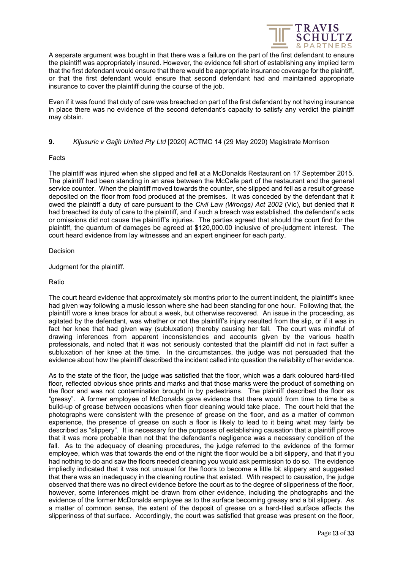

A separate argument was bought in that there was a failure on the part of the first defendant to ensure the plaintiff was appropriately insured. However, the evidence fell short of establishing any implied term that the first defendant would ensure that there would be appropriate insurance coverage for the plaintiff, or that the first defendant would ensure that second defendant had and maintained appropriate insurance to cover the plaintiff during the course of the job.

Even if it was found that duty of care was breached on part of the first defendant by not having insurance in place there was no evidence of the second defendant's capacity to satisfy any verdict the plaintiff may obtain.

# <span id="page-12-0"></span>**9.** *Kljusuric v Gajjh United Pty Ltd* [2020] ACTMC 14 (29 May 2020) Magistrate Morrison

# Facts

The plaintiff was injured when she slipped and fell at a McDonalds Restaurant on 17 September 2015. The plaintiff had been standing in an area between the McCafe part of the restaurant and the general service counter. When the plaintiff moved towards the counter, she slipped and fell as a result of grease deposited on the floor from food produced at the premises. It was conceded by the defendant that it owed the plaintiff a duty of care pursuant to the *Civil Law (Wrongs) Act 2002* (Vic), but denied that it had breached its duty of care to the plaintiff, and if such a breach was established, the defendant's acts or omissions did not cause the plaintiff's injuries. The parties agreed that should the court find for the plaintiff, the quantum of damages be agreed at \$120,000.00 inclusive of pre-judgment interest. The court heard evidence from lay witnesses and an expert engineer for each party.

# Decision

Judgment for the plaintiff.

# Ratio

The court heard evidence that approximately six months prior to the current incident, the plaintiff's knee had given way following a music lesson where she had been standing for one hour. Following that, the plaintiff wore a knee brace for about a week, but otherwise recovered. An issue in the proceeding, as agitated by the defendant, was whether or not the plaintiff's injury resulted from the slip, or if it was in fact her knee that had given way (subluxation) thereby causing her fall. The court was mindful of drawing inferences from apparent inconsistencies and accounts given by the various health professionals, and noted that it was not seriously contested that the plaintiff did not in fact suffer a subluxation of her knee at the time. In the circumstances, the judge was not persuaded that the evidence about how the plaintiff described the incident called into question the reliability of her evidence.

As to the state of the floor, the judge was satisfied that the floor, which was a dark coloured hard-tiled floor, reflected obvious shoe prints and marks and that those marks were the product of something on the floor and was not contamination brought in by pedestrians. The plaintiff described the floor as "greasy". A former employee of McDonalds gave evidence that there would from time to time be a build-up of grease between occasions when floor cleaning would take place. The court held that the photographs were consistent with the presence of grease on the floor, and as a matter of common experience, the presence of grease on such a floor is likely to lead to it being what may fairly be described as "slippery". It is necessary for the purposes of establishing causation that a plaintiff prove that it was more probable than not that the defendant's negligence was a necessary condition of the fall. As to the adequacy of cleaning procedures, the judge referred to the evidence of the former employee, which was that towards the end of the night the floor would be a bit slippery, and that if you had nothing to do and saw the floors needed cleaning you would ask permission to do so. The evidence impliedly indicated that it was not unusual for the floors to become a little bit slippery and suggested that there was an inadequacy in the cleaning routine that existed. With respect to causation, the judge observed that there was no direct evidence before the court as to the degree of slipperiness of the floor, however, some inferences might be drawn from other evidence, including the photographs and the evidence of the former McDonalds employee as to the surface becoming greasy and a bit slippery. As a matter of common sense, the extent of the deposit of grease on a hard-tiled surface affects the slipperiness of that surface. Accordingly, the court was satisfied that grease was present on the floor,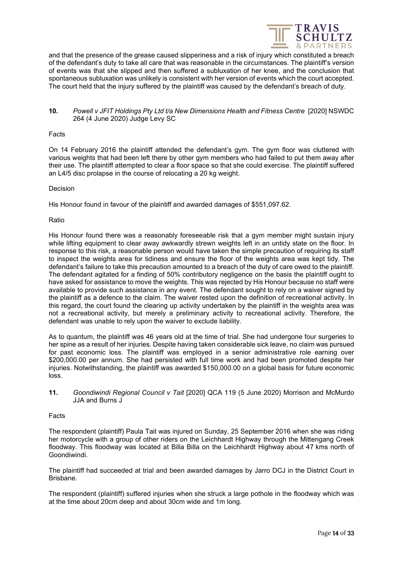

and that the presence of the grease caused slipperiness and a risk of injury which constituted a breach of the defendant's duty to take all care that was reasonable in the circumstances. The plaintiff's version of events was that she slipped and then suffered a subluxation of her knee, and the conclusion that spontaneous subluxation was unlikely is consistent with her version of events which the court accepted. The court held that the injury suffered by the plaintiff was caused by the defendant's breach of duty.

# <span id="page-13-0"></span>**10.** *Powell v JFIT Holdings Pty Ltd t/a New Dimensions Health and Fitness Centre* [2020] NSWDC 264 (4 June 2020) Judge Levy SC

#### Facts

On 14 February 2016 the plaintiff attended the defendant's gym. The gym floor was cluttered with various weights that had been left there by other gym members who had failed to put them away after their use. The plaintiff attempted to clear a floor space so that she could exercise. The plaintiff suffered an L4/5 disc prolapse in the course of relocating a 20 kg weight.

# Decision

His Honour found in favour of the plaintiff and awarded damages of \$551,097.62.

#### Ratio

His Honour found there was a reasonably foreseeable risk that a gym member might sustain injury while lifting equipment to clear away awkwardly strewn weights left in an untidy state on the floor. In response to this risk, a reasonable person would have taken the simple precaution of requiring its staff to inspect the weights area for tidiness and ensure the floor of the weights area was kept tidy. The defendant's failure to take this precaution amounted to a breach of the duty of care owed to the plaintiff. The defendant agitated for a finding of 50% contributory negligence on the basis the plaintiff ought to have asked for assistance to move the weights. This was rejected by His Honour because no staff were available to provide such assistance in any event. The defendant sought to rely on a waiver signed by the plaintiff as a defence to the claim. The waiver rested upon the definition of recreational activity. In this regard, the court found the clearing up activity undertaken by the plaintiff in the weights area was not a recreational activity, but merely a preliminary activity to recreational activity. Therefore, the defendant was unable to rely upon the waiver to exclude liability.

As to quantum, the plaintiff was 46 years old at the time of trial. She had undergone four surgeries to her spine as a result of her injuries. Despite having taken considerable sick leave, no claim was pursued for past economic loss. The plaintiff was employed in a senior administrative role earning over \$200,000.00 per annum. She had persisted with full time work and had been promoted despite her injuries. Notwithstanding, the plaintiff was awarded \$150,000.00 on a global basis for future economic loss.

<span id="page-13-1"></span>**11.** *Goondiwindi Regional Council v Tait* [2020] QCA 119 (5 June 2020) Morrison and McMurdo JJA and Burns J

#### Facts

The respondent (plaintiff) Paula Tait was injured on Sunday, 25 September 2016 when she was riding her motorcycle with a group of other riders on the Leichhardt Highway through the Mittengang Creek floodway. This floodway was located at Billa Billa on the Leichhardt Highway about 47 kms north of Goondiwindi.

The plaintiff had succeeded at trial and been awarded damages by Jarro DCJ in the District Court in Brisbane.

The respondent (plaintiff) suffered injuries when she struck a large pothole in the floodway which was at the time about 20cm deep and about 30cm wide and 1m long.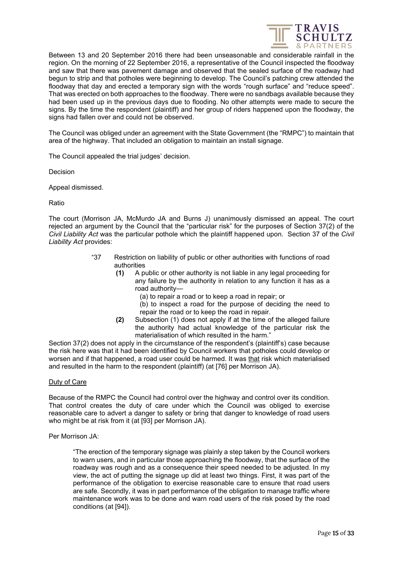

Between 13 and 20 September 2016 there had been unseasonable and considerable rainfall in the region. On the morning of 22 September 2016, a representative of the Council inspected the floodway and saw that there was pavement damage and observed that the sealed surface of the roadway had begun to strip and that potholes were beginning to develop. The Council's patching crew attended the floodway that day and erected a temporary sign with the words "rough surface" and "reduce speed". That was erected on both approaches to the floodway. There were no sandbags available because they had been used up in the previous days due to flooding. No other attempts were made to secure the signs. By the time the respondent (plaintiff) and her group of riders happened upon the floodway, the signs had fallen over and could not be observed.

The Council was obliged under an agreement with the State Government (the "RMPC") to maintain that area of the highway. That included an obligation to maintain an install signage.

The Council appealed the trial judges' decision.

Decision

Appeal dismissed.

Ratio

The court (Morrison JA, McMurdo JA and Burns J) unanimously dismissed an appeal. The court rejected an argument by the Council that the "particular risk" for the purposes of Section 37(2) of the *Civil Liability Act* was the particular pothole which the plaintiff happened upon. Section 37 of the *Civil Liability Act* provides:

- "37 Restriction on liability of public or other authorities with functions of road authorities
	- **(1)** A public or other authority is not liable in any legal proceeding for any failure by the authority in relation to any function it has as a road authority—
		- (a) to repair a road or to keep a road in repair; or
		- (b) to inspect a road for the purpose of deciding the need to repair the road or to keep the road in repair.
	- **(2)** Subsection (1) does not apply if at the time of the alleged failure the authority had actual knowledge of the particular risk the materialisation of which resulted in the harm."

Section 37(2) does not apply in the circumstance of the respondent's (plaintiff's) case because the risk here was that it had been identified by Council workers that potholes could develop or worsen and if that happened, a road user could be harmed. It was that risk which materialised and resulted in the harm to the respondent (plaintiff) (at [76] per Morrison JA).

#### Duty of Care

Because of the RMPC the Council had control over the highway and control over its condition. That control creates the duty of care under which the Council was obliged to exercise reasonable care to advert a danger to safety or bring that danger to knowledge of road users who might be at risk from it (at [93] per Morrison JA).

Per Morrison JA:

"The erection of the temporary signage was plainly a step taken by the Council workers to warn users, and in particular those approaching the floodway, that the surface of the roadway was rough and as a consequence their speed needed to be adjusted. In my view, the act of putting the signage up did at least two things. First, it was part of the performance of the obligation to exercise reasonable care to ensure that road users are safe. Secondly, it was in part performance of the obligation to manage traffic where maintenance work was to be done and warn road users of the risk posed by the road conditions (at [94]).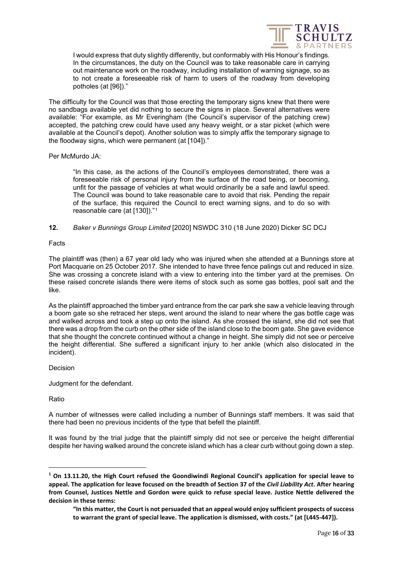

I would express that duty slightly differently, but conformably with His Honour's findings. In the circumstances, the duty on the Council was to take reasonable care in carrying out maintenance work on the roadway, including installation of warning signage, so as to not create a foreseeable risk of harm to users of the roadway from developing potholes (at [96])."

The difficulty for the Council was that those erecting the temporary signs knew that there were no sandbags available yet did nothing to secure the signs in place. Several alternatives were available: "For example, as Mr Everingham (the Council's supervisor of the patching crew) accepted, the patching crew could have used any heavy weight, or a star picket (which were available at the Council's depot). Another solution was to simply affix the temporary signage to the floodway signs, which were permanent (at [104])."

Per McMurdo JA:

"In this case, as the actions of the Council's employees demonstrated, there was a foreseeable risk of personal injury from the surface of the road being, or becoming, unfit for the passage of vehicles at what would ordinarily be a safe and lawful speed. The Council was bound to take reasonable care to avoid that risk. Pending the repair of the surface, this required the Council to erect warning signs, and to do so with reasonable care (at [130])."[1](#page-15-1)

# <span id="page-15-0"></span>**12.** *Baker v Bunnings Group Limited* [2020] NSWDC 310 (18 June 2020) Dicker SC DCJ

# Facts

The plaintiff was (then) a 67 year old lady who was injured when she attended at a Bunnings store at Port Macquarie on 25 October 2017. She intended to have three fence palings cut and reduced in size. She was crossing a concrete island with a view to entering into the timber yard at the premises. On these raised concrete islands there were items of stock such as some gas bottles, pool salt and the like.

As the plaintiff approached the timber yard entrance from the car park she saw a vehicle leaving through a boom gate so she retraced her steps, went around the island to near where the gas bottle cage was and walked across and took a step up onto the island. As she crossed the island, she did not see that there was a drop from the curb on the other side of the island close to the boom gate. She gave evidence that she thought the concrete continued without a change in height. She simply did not see or perceive the height differential. She suffered a significant injury to her ankle (which also dislocated in the incident).

# Decision

Judgment for the defendant.

Ratio

A number of witnesses were called including a number of Bunnings staff members. It was said that there had been no previous incidents of the type that befell the plaintiff.

It was found by the trial judge that the plaintiff simply did not see or perceive the height differential despite her having walked around the concrete island which has a clear curb without going down a step.

<span id="page-15-1"></span>**<sup>1</sup> On 13.11.20, the High Court refused the Goondiwindi Regional Council's application for special leave to appeal. The application for leave focused on the breadth of Section 37 of the** *Civil Liability Act***. After hearing from Counsel, Justices Nettle and Gordon were quick to refuse special leave. Justice Nettle delivered the decision in these terms:**

**<sup>&</sup>quot;In this matter, the Court is not persuaded that an appeal would enjoy sufficient prospects of success to warrant the grant of special leave. The application is dismissed, with costs." (at [L445-447]).**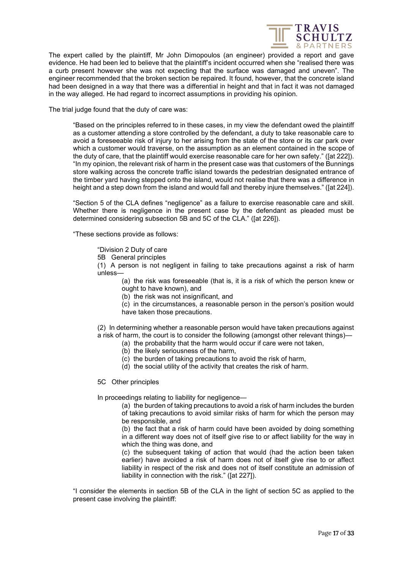

The expert called by the plaintiff, Mr John Dimopoulos (an engineer) provided a report and gave evidence. He had been led to believe that the plaintiff's incident occurred when she "realised there was a curb present however she was not expecting that the surface was damaged and uneven". The engineer recommended that the broken section be repaired. It found, however, that the concrete island had been designed in a way that there was a differential in height and that in fact it was not damaged in the way alleged. He had regard to incorrect assumptions in providing his opinion.

The trial judge found that the duty of care was:

"Based on the principles referred to in these cases, in my view the defendant owed the plaintiff as a customer attending a store controlled by the defendant, a duty to take reasonable care to avoid a foreseeable risk of injury to her arising from the state of the store or its car park over which a customer would traverse, on the assumption as an element contained in the scope of the duty of care, that the plaintiff would exercise reasonable care for her own safety." ([at 222]). "In my opinion, the relevant risk of harm in the present case was that customers of the Bunnings store walking across the concrete traffic island towards the pedestrian designated entrance of the timber yard having stepped onto the island, would not realise that there was a difference in height and a step down from the island and would fall and thereby injure themselves." ([at 224]).

"Section 5 of the CLA defines "negligence" as a failure to exercise reasonable care and skill. Whether there is negligence in the present case by the defendant as pleaded must be determined considering subsection 5B and 5C of the CLA." ([at 226]).

"These sections provide as follows:

"Division 2 Duty of care

5B General principles

(1) A person is not negligent in failing to take precautions against a risk of harm unless—

(a) the risk was foreseeable (that is, it is a risk of which the person knew or ought to have known), and

(b) the risk was not insignificant, and

(c) in the circumstances, a reasonable person in the person's position would have taken those precautions.

(2) In determining whether a reasonable person would have taken precautions against a risk of harm, the court is to consider the following (amongst other relevant things)—

- (a) the probability that the harm would occur if care were not taken,
- (b) the likely seriousness of the harm,
- (c) the burden of taking precautions to avoid the risk of harm,
- (d) the social utility of the activity that creates the risk of harm.

# 5C Other principles

In proceedings relating to liability for negligence—

(a) the burden of taking precautions to avoid a risk of harm includes the burden of taking precautions to avoid similar risks of harm for which the person may be responsible, and

(b) the fact that a risk of harm could have been avoided by doing something in a different way does not of itself give rise to or affect liability for the way in which the thing was done, and

(c) the subsequent taking of action that would (had the action been taken earlier) have avoided a risk of harm does not of itself give rise to or affect liability in respect of the risk and does not of itself constitute an admission of liability in connection with the risk." ([at 227]).

"I consider the elements in section 5B of the CLA in the light of section 5C as applied to the present case involving the plaintiff: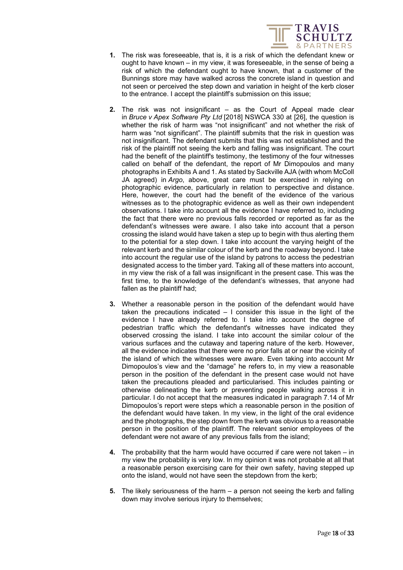

- **1.** The risk was foreseeable, that is, it is a risk of which the defendant knew or ought to have known – in my view, it was foreseeable, in the sense of being a risk of which the defendant ought to have known, that a customer of the Bunnings store may have walked across the concrete island in question and not seen or perceived the step down and variation in height of the kerb closer to the entrance. I accept the plaintiff's submission on this issue;
- **2.** The risk was not insignificant as the Court of Appeal made clear in *Bruce v Apex Software Pty Ltd* [2018] NSWCA 330 at [26], the question is whether the risk of harm was "not insignificant" and not whether the risk of harm was "not significant". The plaintiff submits that the risk in question was not insignificant. The defendant submits that this was not established and the risk of the plaintiff not seeing the kerb and falling was insignificant. The court had the benefit of the plaintiff's testimony, the testimony of the four witnesses called on behalf of the defendant, the report of Mr Dimopoulos and many photographs in Exhibits A and 1. As stated by Sackville AJA (with whom McColl JA agreed) in *Argo*, above, great care must be exercised in relying on photographic evidence, particularly in relation to perspective and distance. Here, however, the court had the benefit of the evidence of the various witnesses as to the photographic evidence as well as their own independent observations. I take into account all the evidence I have referred to, including the fact that there were no previous falls recorded or reported as far as the defendant's witnesses were aware. I also take into account that a person crossing the island would have taken a step up to begin with thus alerting them to the potential for a step down. I take into account the varying height of the relevant kerb and the similar colour of the kerb and the roadway beyond. I take into account the regular use of the island by patrons to access the pedestrian designated access to the timber yard. Taking all of these matters into account, in my view the risk of a fall was insignificant in the present case. This was the first time, to the knowledge of the defendant's witnesses, that anyone had fallen as the plaintiff had;
- **3.** Whether a reasonable person in the position of the defendant would have taken the precautions indicated – I consider this issue in the light of the evidence I have already referred to. I take into account the degree of pedestrian traffic which the defendant's witnesses have indicated they observed crossing the island. I take into account the similar colour of the various surfaces and the cutaway and tapering nature of the kerb. However, all the evidence indicates that there were no prior falls at or near the vicinity of the island of which the witnesses were aware. Even taking into account Mr Dimopoulos's view and the "damage" he refers to, in my view a reasonable person in the position of the defendant in the present case would not have taken the precautions pleaded and particularised. This includes painting or otherwise delineating the kerb or preventing people walking across it in particular. I do not accept that the measures indicated in paragraph 7.14 of Mr Dimopoulos's report were steps which a reasonable person in the position of the defendant would have taken. In my view, in the light of the oral evidence and the photographs, the step down from the kerb was obvious to a reasonable person in the position of the plaintiff. The relevant senior employees of the defendant were not aware of any previous falls from the island;
- **4.** The probability that the harm would have occurred if care were not taken in my view the probability is very low. In my opinion it was not probable at all that a reasonable person exercising care for their own safety, having stepped up onto the island, would not have seen the stepdown from the kerb;
- **5.** The likely seriousness of the harm a person not seeing the kerb and falling down may involve serious injury to themselves;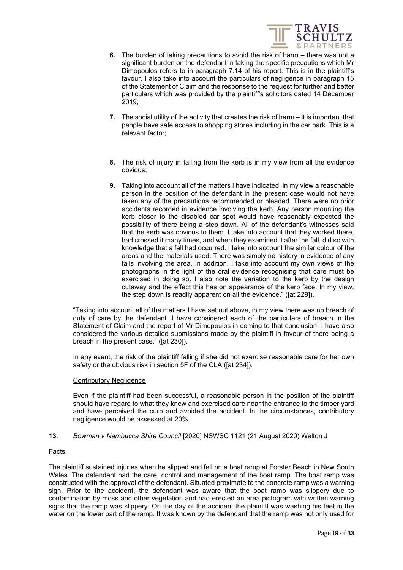

- **6.** The burden of taking precautions to avoid the risk of harm there was not a significant burden on the defendant in taking the specific precautions which Mr Dimopoulos refers to in paragraph 7.14 of his report. This is in the plaintiff's favour. I also take into account the particulars of negligence in paragraph 15 of the Statement of Claim and the response to the request for further and better particulars which was provided by the plaintiff's solicitors dated 14 December 2019;
- **7.** The social utility of the activity that creates the risk of harm it is important that people have safe access to shopping stores including in the car park. This is a relevant factor;
- **8.** The risk of injury in falling from the kerb is in my view from all the evidence obvious;
- **9.** Taking into account all of the matters I have indicated, in my view a reasonable person in the position of the defendant in the present case would not have taken any of the precautions recommended or pleaded. There were no prior accidents recorded in evidence involving the kerb. Any person mounting the kerb closer to the disabled car spot would have reasonably expected the possibility of there being a step down. All of the defendant's witnesses said that the kerb was obvious to them. I take into account that they worked there, had crossed it many times, and when they examined it after the fall, did so with knowledge that a fall had occurred. I take into account the similar colour of the areas and the materials used. There was simply no history in evidence of any falls involving the area. In addition, I take into account my own views of the photographs in the light of the oral evidence recognising that care must be exercised in doing so. I also note the variation to the kerb by the design cutaway and the effect this has on appearance of the kerb face. In my view, the step down is readily apparent on all the evidence." ([at 229]).

"Taking into account all of the matters I have set out above, in my view there was no breach of duty of care by the defendant. I have considered each of the particulars of breach in the Statement of Claim and the report of Mr Dimopoulos in coming to that conclusion. I have also considered the various detailed submissions made by the plaintiff in favour of there being a breach in the present case." ([at 230]).

In any event, the risk of the plaintiff falling if she did not exercise reasonable care for her own safety or the obvious risk in section 5F of the CLA ([at 234]).

# Contributory Negligence

Even if the plaintiff had been successful, a reasonable person in the position of the plaintiff should have regard to what they knew and exercised care near the entrance to the timber yard and have perceived the curb and avoided the accident. In the circumstances, contributory negligence would be assessed at 20%.

# <span id="page-18-0"></span>**13.** *Bowman v Nambucca Shire Council* [2020] NSWSC 1121 (21 August 2020) Walton J

# Facts

The plaintiff sustained injuries when he slipped and fell on a boat ramp at Forster Beach in New South Wales. The defendant had the care, control and management of the boat ramp. The boat ramp was constructed with the approval of the defendant. Situated proximate to the concrete ramp was a warning sign. Prior to the accident, the defendant was aware that the boat ramp was slippery due to contamination by moss and other vegetation and had erected an area pictogram with written warning signs that the ramp was slippery. On the day of the accident the plaintiff was washing his feet in the water on the lower part of the ramp. It was known by the defendant that the ramp was not only used for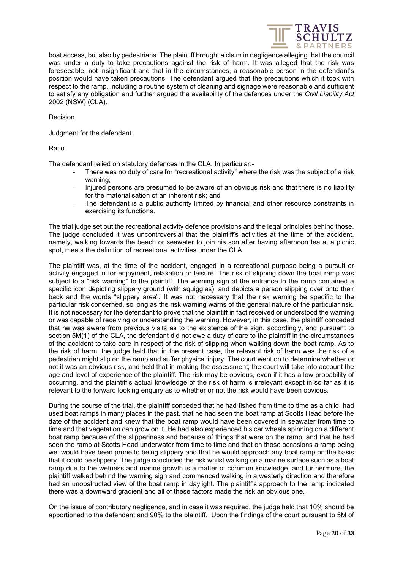

boat access, but also by pedestrians. The plaintiff brought a claim in negligence alleging that the council was under a duty to take precautions against the risk of harm. It was alleged that the risk was foreseeable, not insignificant and that in the circumstances, a reasonable person in the defendant's position would have taken precautions. The defendant argued that the precautions which it took with respect to the ramp, including a routine system of cleaning and signage were reasonable and sufficient to satisfy any obligation and further argued the availability of the defences under the *Civil Liability Act*  2002 (NSW) (CLA).

Decision

Judgment for the defendant.

Ratio

The defendant relied on statutory defences in the CLA. In particular:-

- There was no duty of care for "recreational activity" where the risk was the subject of a risk warning;
- Injured persons are presumed to be aware of an obvious risk and that there is no liability for the materialisation of an inherent risk; and
- The defendant is a public authority limited by financial and other resource constraints in exercising its functions.

The trial judge set out the recreational activity defence provisions and the legal principles behind those. The judge concluded it was uncontroversial that the plaintiff's activities at the time of the accident, namely, walking towards the beach or seawater to join his son after having afternoon tea at a picnic spot, meets the definition of recreational activities under the CLA.

The plaintiff was, at the time of the accident, engaged in a recreational purpose being a pursuit or activity engaged in for enjoyment, relaxation or leisure. The risk of slipping down the boat ramp was subject to a "risk warning" to the plaintiff. The warning sign at the entrance to the ramp contained a specific icon depicting slippery ground (with squiggles), and depicts a person slipping over onto their back and the words "slippery area". It was not necessary that the risk warning be specific to the particular risk concerned, so long as the risk warning warns of the general nature of the particular risk. It is not necessary for the defendant to prove that the plaintiff in fact received or understood the warning or was capable of receiving or understanding the warning. However, in this case, the plaintiff conceded that he was aware from previous visits as to the existence of the sign, accordingly, and pursuant to section 5M(1) of the CLA, the defendant did not owe a duty of care to the plaintiff in the circumstances of the accident to take care in respect of the risk of slipping when walking down the boat ramp. As to the risk of harm, the judge held that in the present case, the relevant risk of harm was the risk of a pedestrian might slip on the ramp and suffer physical injury. The court went on to determine whether or not it was an obvious risk, and held that in making the assessment, the court will take into account the age and level of experience of the plaintiff. The risk may be obvious, even if it has a low probability of occurring, and the plaintiff's actual knowledge of the risk of harm is irrelevant except in so far as it is relevant to the forward looking enquiry as to whether or not the risk would have been obvious.

During the course of the trial, the plaintiff conceded that he had fished from time to time as a child, had used boat ramps in many places in the past, that he had seen the boat ramp at Scotts Head before the date of the accident and knew that the boat ramp would have been covered in seawater from time to time and that vegetation can grow on it. He had also experienced his car wheels spinning on a different boat ramp because of the slipperiness and because of things that were on the ramp, and that he had seen the ramp at Scotts Head underwater from time to time and that on those occasions a ramp being wet would have been prone to being slippery and that he would approach any boat ramp on the basis that it could be slippery. The judge concluded the risk whilst walking on a marine surface such as a boat ramp due to the wetness and marine growth is a matter of common knowledge, and furthermore, the plaintiff walked behind the warning sign and commenced walking in a westerly direction and therefore had an unobstructed view of the boat ramp in daylight. The plaintiff's approach to the ramp indicated there was a downward gradient and all of these factors made the risk an obvious one.

On the issue of contributory negligence, and in case it was required, the judge held that 10% should be apportioned to the defendant and 90% to the plaintiff. Upon the findings of the court pursuant to 5M of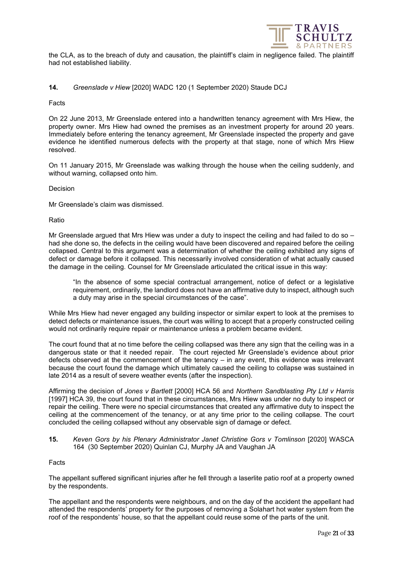

the CLA, as to the breach of duty and causation, the plaintiff's claim in negligence failed. The plaintiff had not established liability.

# <span id="page-20-0"></span>**14.** *Greenslade v Hiew* [2020] WADC 120 (1 September 2020) Staude DCJ

#### Facts

On 22 June 2013, Mr Greenslade entered into a handwritten tenancy agreement with Mrs Hiew, the property owner. Mrs Hiew had owned the premises as an investment property for around 20 years. Immediately before entering the tenancy agreement, Mr Greenslade inspected the property and gave evidence he identified numerous defects with the property at that stage, none of which Mrs Hiew resolved.

On 11 January 2015, Mr Greenslade was walking through the house when the ceiling suddenly, and without warning, collapsed onto him.

#### Decision

Mr Greenslade's claim was dismissed.

#### Ratio

Mr Greenslade argued that Mrs Hiew was under a duty to inspect the ceiling and had failed to do so – had she done so, the defects in the ceiling would have been discovered and repaired before the ceiling collapsed. Central to this argument was a determination of whether the ceiling exhibited any signs of defect or damage before it collapsed. This necessarily involved consideration of what actually caused the damage in the ceiling. Counsel for Mr Greenslade articulated the critical issue in this way:

"In the absence of some special contractual arrangement, notice of defect or a legislative requirement, ordinarily, the landlord does not have an affirmative duty to inspect, although such a duty may arise in the special circumstances of the case".

While Mrs Hiew had never engaged any building inspector or similar expert to look at the premises to detect defects or maintenance issues, the court was willing to accept that a properly constructed ceiling would not ordinarily require repair or maintenance unless a problem became evident.

The court found that at no time before the ceiling collapsed was there any sign that the ceiling was in a dangerous state or that it needed repair. The court rejected Mr Greenslade's evidence about prior defects observed at the commencement of the tenancy – in any event, this evidence was irrelevant because the court found the damage which ultimately caused the ceiling to collapse was sustained in late 2014 as a result of severe weather events (after the inspection).

Affirming the decision of *Jones v Bartlett* [2000] HCA 56 and *Northern Sandblasting Pty Ltd v Harris* [1997] HCA 39, the court found that in these circumstances, Mrs Hiew was under no duty to inspect or repair the ceiling. There were no special circumstances that created any affirmative duty to inspect the ceiling at the commencement of the tenancy, or at any time prior to the ceiling collapse. The court concluded the ceiling collapsed without any observable sign of damage or defect.

# <span id="page-20-1"></span>**15.** *Keven Gors by his Plenary Administrator Janet Christine Gors v Tomlinson* [2020] WASCA 164 (30 September 2020) Quinlan CJ, Murphy JA and Vaughan JA

# Facts

The appellant suffered significant injuries after he fell through a laserlite patio roof at a property owned by the respondents.

The appellant and the respondents were neighbours, and on the day of the accident the appellant had attended the respondents' property for the purposes of removing a Solahart hot water system from the roof of the respondents' house, so that the appellant could reuse some of the parts of the unit.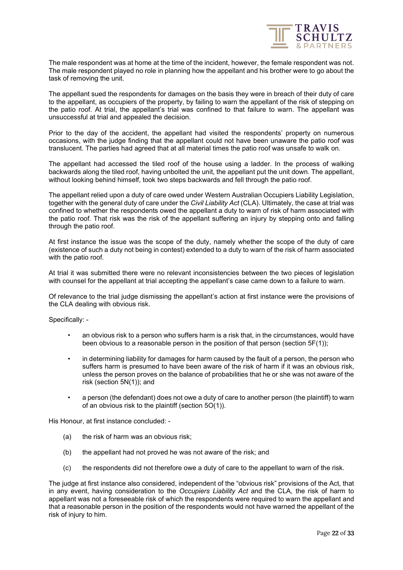

The male respondent was at home at the time of the incident, however, the female respondent was not. The male respondent played no role in planning how the appellant and his brother were to go about the task of removing the unit.

The appellant sued the respondents for damages on the basis they were in breach of their duty of care to the appellant, as occupiers of the property, by failing to warn the appellant of the risk of stepping on the patio roof. At trial, the appellant's trial was confined to that failure to warn. The appellant was unsuccessful at trial and appealed the decision.

Prior to the day of the accident, the appellant had visited the respondents' property on numerous occasions, with the judge finding that the appellant could not have been unaware the patio roof was translucent. The parties had agreed that at all material times the patio roof was unsafe to walk on.

The appellant had accessed the tiled roof of the house using a ladder. In the process of walking backwards along the tiled roof, having unbolted the unit, the appellant put the unit down. The appellant, without looking behind himself, took two steps backwards and fell through the patio roof.

The appellant relied upon a duty of care owed under Western Australian Occupiers Liability Legislation, together with the general duty of care under the *Civil Liability Act* (CLA). Ultimately, the case at trial was confined to whether the respondents owed the appellant a duty to warn of risk of harm associated with the patio roof. That risk was the risk of the appellant suffering an injury by stepping onto and falling through the patio roof.

At first instance the issue was the scope of the duty, namely whether the scope of the duty of care (existence of such a duty not being in contest) extended to a duty to warn of the risk of harm associated with the patio roof.

At trial it was submitted there were no relevant inconsistencies between the two pieces of legislation with counsel for the appellant at trial accepting the appellant's case came down to a failure to warn.

Of relevance to the trial judge dismissing the appellant's action at first instance were the provisions of the CLA dealing with obvious risk.

Specifically: -

- an obvious risk to a person who suffers harm is a risk that, in the circumstances, would have been obvious to a reasonable person in the position of that person (section 5F(1));
- in determining liability for damages for harm caused by the fault of a person, the person who suffers harm is presumed to have been aware of the risk of harm if it was an obvious risk, unless the person proves on the balance of probabilities that he or she was not aware of the risk (section 5N(1)); and
- a person (the defendant) does not owe a duty of care to another person (the plaintiff) to warn of an obvious risk to the plaintiff (section 5O(1)).

His Honour, at first instance concluded: -

- (a) the risk of harm was an obvious risk;
- (b) the appellant had not proved he was not aware of the risk; and
- (c) the respondents did not therefore owe a duty of care to the appellant to warn of the risk.

The judge at first instance also considered, independent of the "obvious risk" provisions of the Act, that in any event, having consideration to the *Occupiers Liability Act* and the CLA, the risk of harm to appellant was not a foreseeable risk of which the respondents were required to warn the appellant and that a reasonable person in the position of the respondents would not have warned the appellant of the risk of injury to him.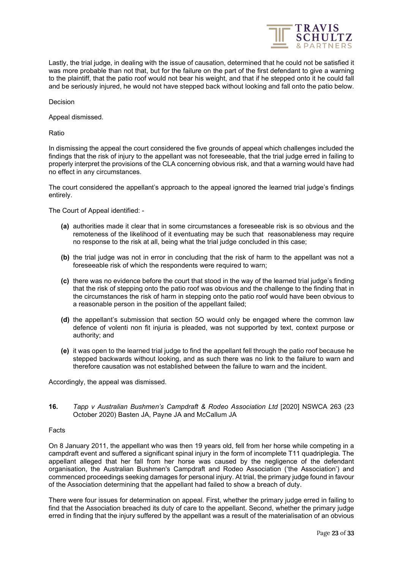

Lastly, the trial judge, in dealing with the issue of causation, determined that he could not be satisfied it was more probable than not that, but for the failure on the part of the first defendant to give a warning to the plaintiff, that the patio roof would not bear his weight, and that if he stepped onto it he could fall and be seriously injured, he would not have stepped back without looking and fall onto the patio below.

Decision

Appeal dismissed.

Ratio

In dismissing the appeal the court considered the five grounds of appeal which challenges included the findings that the risk of injury to the appellant was not foreseeable, that the trial judge erred in failing to properly interpret the provisions of the CLA concerning obvious risk, and that a warning would have had no effect in any circumstances.

The court considered the appellant's approach to the appeal ignored the learned trial judge's findings entirely.

The Court of Appeal identified: -

- **(a)** authorities made it clear that in some circumstances a foreseeable risk is so obvious and the remoteness of the likelihood of it eventuating may be such that reasonableness may require no response to the risk at all, being what the trial judge concluded in this case;
- **(b)** the trial judge was not in error in concluding that the risk of harm to the appellant was not a foreseeable risk of which the respondents were required to warn;
- **(c)** there was no evidence before the court that stood in the way of the learned trial judge's finding that the risk of stepping onto the patio roof was obvious and the challenge to the finding that in the circumstances the risk of harm in stepping onto the patio roof would have been obvious to a reasonable person in the position of the appellant failed;
- **(d)** the appellant's submission that section 5O would only be engaged where the common law defence of volenti non fit injuria is pleaded, was not supported by text, context purpose or authority; and
- **(e)** it was open to the learned trial judge to find the appellant fell through the patio roof because he stepped backwards without looking, and as such there was no link to the failure to warn and therefore causation was not established between the failure to warn and the incident.

Accordingly, the appeal was dismissed.

<span id="page-22-0"></span>**16.** *Tapp v Australian Bushmen's Campdraft & Rodeo Association Ltd* [2020] NSWCA 263 (23 October 2020) Basten JA, Payne JA and McCallum JA

#### Facts

On 8 January 2011, the appellant who was then 19 years old, fell from her horse while competing in a campdraft event and suffered a significant spinal injury in the form of incomplete T11 quadriplegia. The appellant alleged that her fall from her horse was caused by the negligence of the defendant organisation, the Australian Bushmen's Campdraft and Rodeo Association ('the Association') and commenced proceedings seeking damages for personal injury. At trial, the primary judge found in favour of the Association determining that the appellant had failed to show a breach of duty.

There were four issues for determination on appeal. First, whether the primary judge erred in failing to find that the Association breached its duty of care to the appellant. Second, whether the primary judge erred in finding that the injury suffered by the appellant was a result of the materialisation of an obvious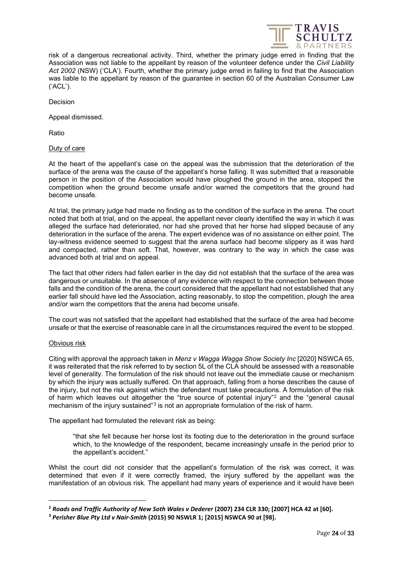

risk of a dangerous recreational activity. Third, whether the primary judge erred in finding that the Association was not liable to the appellant by reason of the volunteer defence under the *Civil Liability Act 2002* (NSW) ('CLA'). Fourth, whether the primary judge erred in failing to find that the Association was liable to the appellant by reason of the guarantee in section 60 of the Australian Consumer Law ('ACL').

Decision

Appeal dismissed.

Ratio

# Duty of care

At the heart of the appellant's case on the appeal was the submission that the deterioration of the surface of the arena was the cause of the appellant's horse falling. It was submitted that a reasonable person in the position of the Association would have ploughed the ground in the area, stopped the competition when the ground become unsafe and/or warned the competitors that the ground had become unsafe.

At trial, the primary judge had made no finding as to the condition of the surface in the arena. The court noted that both at trial, and on the appeal, the appellant never clearly identified the way in which it was alleged the surface had deteriorated, nor had she proved that her horse had slipped because of any deterioration in the surface of the arena. The expert evidence was of no assistance on either point. The lay-witness evidence seemed to suggest that the arena surface had become slippery as it was hard and compacted, rather than soft. That, however, was contrary to the way in which the case was advanced both at trial and on appeal.

The fact that other riders had fallen earlier in the day did not establish that the surface of the area was dangerous or unsuitable. In the absence of any evidence with respect to the connection between those falls and the condition of the arena, the court considered that the appellant had not established that any earlier fall should have led the Association, acting reasonably, to stop the competition, plough the area and/or warn the competitors that the arena had become unsafe.

The court was not satisfied that the appellant had established that the surface of the area had become unsafe or that the exercise of reasonable care in all the circumstances required the event to be stopped.

# Obvious risk

Citing with approval the approach taken in *Menz v Wagga Wagga Show Society Inc* [2020] NSWCA 65, it was reiterated that the risk referred to by section 5L of the CLA should be assessed with a reasonable level of generality. The formulation of the risk should not leave out the immediate cause or mechanism by which the injury was actually suffered. On that approach, falling from a horse describes the cause of the injury, but not the risk against which the defendant must take precautions. A formulation of the risk of harm which leaves out altogether the "true source of potential injury"[2](#page-23-0) and the "general causal mechanism of the injury sustained"[3](#page-23-1) is not an appropriate formulation of the risk of harm.

The appellant had formulated the relevant risk as being:

"that she fell because her horse lost its footing due to the deterioration in the ground surface which, to the knowledge of the respondent, became increasingly unsafe in the period prior to the appellant's accident."

Whilst the court did not consider that the appellant's formulation of the risk was correct, it was determined that even if it were correctly framed, the injury suffered by the appellant was the manifestation of an obvious risk. The appellant had many years of experience and it would have been

<span id="page-23-0"></span>**<sup>2</sup>** *Roads and Traffic Authority of New Soth Wales v Dederer* **(2007) 234 CLR 330; [2007] HCA 42 at [60].**

<span id="page-23-1"></span>**<sup>3</sup>** *Perisher Blue Pty Ltd v Nair-Smith* **(2015) 90 NSWLR 1; [2015] NSWCA 90 at [98].**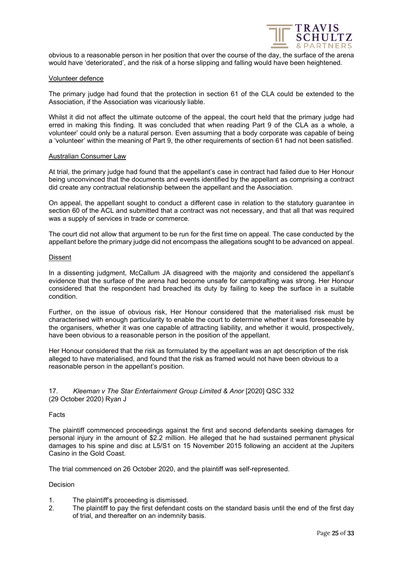

obvious to a reasonable person in her position that over the course of the day, the surface of the arena would have 'deteriorated', and the risk of a horse slipping and falling would have been heightened.

#### Volunteer defence

The primary judge had found that the protection in section 61 of the CLA could be extended to the Association, if the Association was vicariously liable.

Whilst it did not affect the ultimate outcome of the appeal, the court held that the primary judge had erred in making this finding. It was concluded that when reading Part 9 of the CLA as a whole, a volunteer' could only be a natural person. Even assuming that a body corporate was capable of being a 'volunteer' within the meaning of Part 9, the other requirements of section 61 had not been satisfied.

#### Australian Consumer Law

At trial, the primary judge had found that the appellant's case in contract had failed due to Her Honour being unconvinced that the documents and events identified by the appellant as comprising a contract did create any contractual relationship between the appellant and the Association.

On appeal, the appellant sought to conduct a different case in relation to the statutory guarantee in section 60 of the ACL and submitted that a contract was not necessary, and that all that was required was a supply of services in trade or commerce.

The court did not allow that argument to be run for the first time on appeal. The case conducted by the appellant before the primary judge did not encompass the allegations sought to be advanced on appeal.

#### Dissent

In a dissenting judgment, McCallum JA disagreed with the majority and considered the appellant's evidence that the surface of the arena had become unsafe for campdrafting was strong. Her Honour considered that the respondent had breached its duty by failing to keep the surface in a suitable condition.

Further, on the issue of obvious risk, Her Honour considered that the materialised risk must be characterised with enough particularity to enable the court to determine whether it was foreseeable by the organisers, whether it was one capable of attracting liability, and whether it would, prospectively, have been obvious to a reasonable person in the position of the appellant.

Her Honour considered that the risk as formulated by the appellant was an apt description of the risk alleged to have materialised, and found that the risk as framed would not have been obvious to a reasonable person in the appellant's position.

# <span id="page-24-0"></span>17. *Kleeman v The Star Entertainment Group Limited & Anor* [2020] QSC 332 (29 October 2020) Ryan J

#### Facts

The plaintiff commenced proceedings against the first and second defendants seeking damages for personal injury in the amount of \$2.2 million. He alleged that he had sustained permanent physical damages to his spine and disc at L5/S1 on 15 November 2015 following an accident at the Jupiters Casino in the Gold Coast.

The trial commenced on 26 October 2020, and the plaintiff was self-represented.

#### Decision

- 1. The plaintiff's proceeding is dismissed.
- 2. The plaintiff to pay the first defendant costs on the standard basis until the end of the first day of trial, and thereafter on an indemnity basis.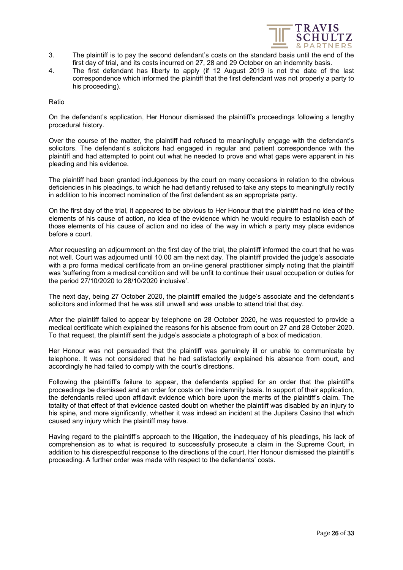

- 3. The plaintiff is to pay the second defendant's costs on the standard basis until the end of the first day of trial, and its costs incurred on 27, 28 and 29 October on an indemnity basis.
- 4. The first defendant has liberty to apply (if 12 August 2019 is not the date of the last correspondence which informed the plaintiff that the first defendant was not properly a party to his proceeding).

Ratio

On the defendant's application, Her Honour dismissed the plaintiff's proceedings following a lengthy procedural history.

Over the course of the matter, the plaintiff had refused to meaningfully engage with the defendant's solicitors. The defendant's solicitors had engaged in regular and patient correspondence with the plaintiff and had attempted to point out what he needed to prove and what gaps were apparent in his pleading and his evidence.

The plaintiff had been granted indulgences by the court on many occasions in relation to the obvious deficiencies in his pleadings, to which he had defiantly refused to take any steps to meaningfully rectify in addition to his incorrect nomination of the first defendant as an appropriate party.

On the first day of the trial, it appeared to be obvious to Her Honour that the plaintiff had no idea of the elements of his cause of action, no idea of the evidence which he would require to establish each of those elements of his cause of action and no idea of the way in which a party may place evidence before a court.

After requesting an adjournment on the first day of the trial, the plaintiff informed the court that he was not well. Court was adjourned until 10.00 am the next day. The plaintiff provided the judge's associate with a pro forma medical certificate from an on-line general practitioner simply noting that the plaintiff was 'suffering from a medical condition and will be unfit to continue their usual occupation or duties for the period 27/10/2020 to 28/10/2020 inclusive'.

The next day, being 27 October 2020, the plaintiff emailed the judge's associate and the defendant's solicitors and informed that he was still unwell and was unable to attend trial that day.

After the plaintiff failed to appear by telephone on 28 October 2020, he was requested to provide a medical certificate which explained the reasons for his absence from court on 27 and 28 October 2020. To that request, the plaintiff sent the judge's associate a photograph of a box of medication.

Her Honour was not persuaded that the plaintiff was genuinely ill or unable to communicate by telephone. It was not considered that he had satisfactorily explained his absence from court, and accordingly he had failed to comply with the court's directions.

Following the plaintiff's failure to appear, the defendants applied for an order that the plaintiff's proceedings be dismissed and an order for costs on the indemnity basis. In support of their application, the defendants relied upon affidavit evidence which bore upon the merits of the plaintiff's claim. The totality of that effect of that evidence casted doubt on whether the plaintiff was disabled by an injury to his spine, and more significantly, whether it was indeed an incident at the Jupiters Casino that which caused any injury which the plaintiff may have.

Having regard to the plaintiff's approach to the litigation, the inadequacy of his pleadings, his lack of comprehension as to what is required to successfully prosecute a claim in the Supreme Court, in addition to his disrespectful response to the directions of the court, Her Honour dismissed the plaintiff's proceeding. A further order was made with respect to the defendants' costs.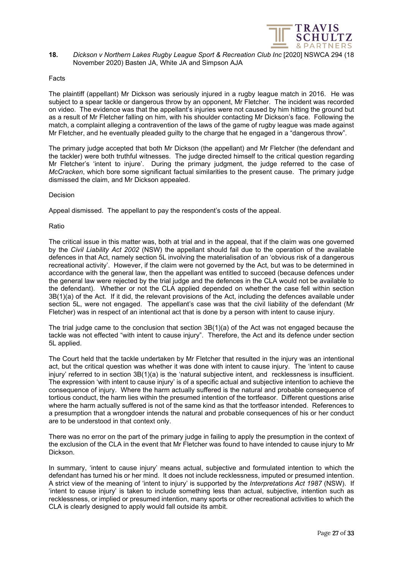

<span id="page-26-0"></span>**18.** *Dickson v Northern Lakes Rugby League Sport & Recreation Club Inc* [2020] NSWCA 294 (18 November 2020) Basten JA, White JA and Simpson AJA

#### Facts

The plaintiff (appellant) Mr Dickson was seriously injured in a rugby league match in 2016. He was subject to a spear tackle or dangerous throw by an opponent, Mr Fletcher. The incident was recorded on video. The evidence was that the appellant's injuries were not caused by him hitting the ground but as a result of Mr Fletcher falling on him, with his shoulder contacting Mr Dickson's face. Following the match, a complaint alleging a contravention of the laws of the game of rugby league was made against Mr Fletcher, and he eventually pleaded guilty to the charge that he engaged in a "dangerous throw".

The primary judge accepted that both Mr Dickson (the appellant) and Mr Fletcher (the defendant and the tackler) were both truthful witnesses. The judge directed himself to the critical question regarding Mr Fletcher's 'intent to injure'. During the primary judgment, the judge referred to the case of *McCracken*, which bore some significant factual similarities to the present cause. The primary judge dismissed the claim, and Mr Dickson appealed.

#### Decision

Appeal dismissed. The appellant to pay the respondent's costs of the appeal.

#### Ratio

The critical issue in this matter was, both at trial and in the appeal, that if the claim was one governed by the *Civil Liability Act 2002* (NSW) the appellant should fail due to the operation of the available defences in that Act, namely section 5L involving the materialisation of an 'obvious risk of a dangerous recreational activity'. However, if the claim were not governed by the Act, but was to be determined in accordance with the general law, then the appellant was entitled to succeed (because defences under the general law were rejected by the trial judge and the defences in the CLA would not be available to the defendant). Whether or not the CLA applied depended on whether the case fell within section 3B(1)(a) of the Act. If it did, the relevant provisions of the Act, including the defences available under section 5L, were not engaged. The appellant's case was that the civil liability of the defendant (Mr Fletcher) was in respect of an intentional act that is done by a person with intent to cause injury.

The trial judge came to the conclusion that section 3B(1)(a) of the Act was not engaged because the tackle was not effected "with intent to cause injury". Therefore, the Act and its defence under section 5L applied.

The Court held that the tackle undertaken by Mr Fletcher that resulted in the injury was an intentional act, but the critical question was whether it was done with intent to cause injury. The 'intent to cause injury' referred to in section 3B(1)(a) is the 'natural subjective intent, and recklessness is insufficient. The expression 'with intent to cause injury' is of a specific actual and subjective intention to achieve the consequence of injury. Where the harm actually suffered is the natural and probable consequence of tortious conduct, the harm lies within the presumed intention of the tortfeasor. Different questions arise where the harm actually suffered is not of the same kind as that the tortfeasor intended. References to a presumption that a wrongdoer intends the natural and probable consequences of his or her conduct are to be understood in that context only.

There was no error on the part of the primary judge in failing to apply the presumption in the context of the exclusion of the CLA in the event that Mr Fletcher was found to have intended to cause injury to Mr Dickson.

In summary, 'intent to cause injury' means actual, subjective and formulated intention to which the defendant has turned his or her mind. It does not include recklessness, imputed or presumed intention. A strict view of the meaning of 'intent to injury' is supported by the *Interpretations Act 1987* (NSW). If 'intent to cause injury' is taken to include something less than actual, subjective, intention such as recklessness, or implied or presumed intention, many sports or other recreational activities to which the CLA is clearly designed to apply would fall outside its ambit.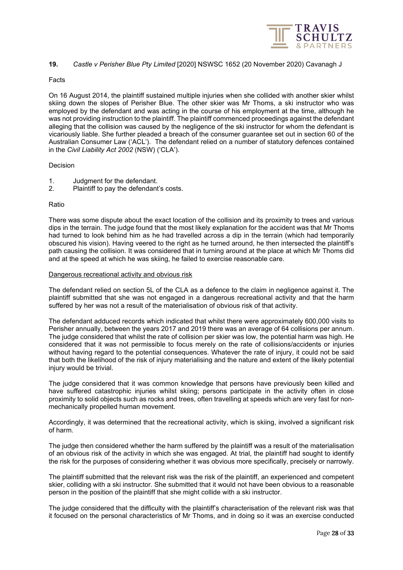

# <span id="page-27-0"></span>**19.** *Castle v Perisher Blue Pty Limited* [2020] NSWSC 1652 (20 November 2020) Cavanagh J

#### Facts

On 16 August 2014, the plaintiff sustained multiple injuries when she collided with another skier whilst skiing down the slopes of Perisher Blue. The other skier was Mr Thoms, a ski instructor who was employed by the defendant and was acting in the course of his employment at the time, although he was not providing instruction to the plaintiff. The plaintiff commenced proceedings against the defendant alleging that the collision was caused by the negligence of the ski instructor for whom the defendant is vicariously liable. She further pleaded a breach of the consumer guarantee set out in section 60 of the Australian Consumer Law ('ACL'). The defendant relied on a number of statutory defences contained in the *Civil Liability Act 2002* (NSW) ('CLA').

# Decision

- 1. Judgment for the defendant.<br>2. Plaintiff to pay the defendant
- Plaintiff to pay the defendant's costs.

# Ratio

There was some dispute about the exact location of the collision and its proximity to trees and various dips in the terrain. The judge found that the most likely explanation for the accident was that Mr Thoms had turned to look behind him as he had travelled across a dip in the terrain (which had temporarily obscured his vision). Having veered to the right as he turned around, he then intersected the plaintiff's path causing the collision. It was considered that in turning around at the place at which Mr Thoms did and at the speed at which he was skiing, he failed to exercise reasonable care.

#### Dangerous recreational activity and obvious risk

The defendant relied on section 5L of the CLA as a defence to the claim in negligence against it. The plaintiff submitted that she was not engaged in a dangerous recreational activity and that the harm suffered by her was not a result of the materialisation of obvious risk of that activity.

The defendant adduced records which indicated that whilst there were approximately 600,000 visits to Perisher annually, between the years 2017 and 2019 there was an average of 64 collisions per annum. The judge considered that whilst the rate of collision per skier was low, the potential harm was high. He considered that it was not permissible to focus merely on the rate of collisions/accidents or injuries without having regard to the potential consequences. Whatever the rate of injury, it could not be said that both the likelihood of the risk of injury materialising and the nature and extent of the likely potential injury would be trivial.

The judge considered that it was common knowledge that persons have previously been killed and have suffered catastrophic injuries whilst skiing; persons participate in the activity often in close proximity to solid objects such as rocks and trees, often travelling at speeds which are very fast for nonmechanically propelled human movement.

Accordingly, it was determined that the recreational activity, which is skiing, involved a significant risk of harm.

The judge then considered whether the harm suffered by the plaintiff was a result of the materialisation of an obvious risk of the activity in which she was engaged. At trial, the plaintiff had sought to identify the risk for the purposes of considering whether it was obvious more specifically, precisely or narrowly.

The plaintiff submitted that the relevant risk was the risk of the plaintiff, an experienced and competent skier, colliding with a ski instructor. She submitted that it would not have been obvious to a reasonable person in the position of the plaintiff that she might collide with a ski instructor.

The judge considered that the difficulty with the plaintiff's characterisation of the relevant risk was that it focused on the personal characteristics of Mr Thoms, and in doing so it was an exercise conducted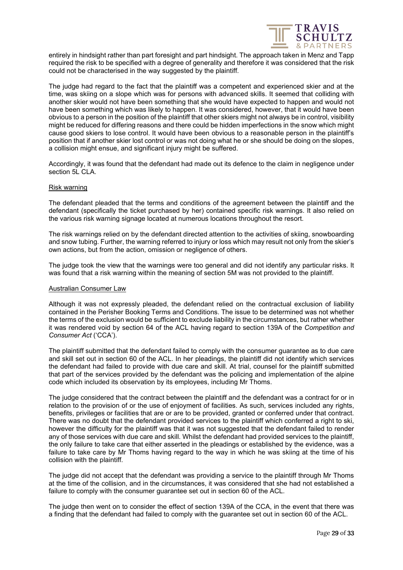

entirely in hindsight rather than part foresight and part hindsight. The approach taken in Menz and Tapp required the risk to be specified with a degree of generality and therefore it was considered that the risk could not be characterised in the way suggested by the plaintiff.

The judge had regard to the fact that the plaintiff was a competent and experienced skier and at the time, was skiing on a slope which was for persons with advanced skills. It seemed that colliding with another skier would not have been something that she would have expected to happen and would not have been something which was likely to happen. It was considered, however, that it would have been obvious to a person in the position of the plaintiff that other skiers might not always be in control, visibility might be reduced for differing reasons and there could be hidden imperfections in the snow which might cause good skiers to lose control. It would have been obvious to a reasonable person in the plaintiff's position that if another skier lost control or was not doing what he or she should be doing on the slopes, a collision might ensue, and significant injury might be suffered.

Accordingly, it was found that the defendant had made out its defence to the claim in negligence under section 5L CLA.

#### Risk warning

The defendant pleaded that the terms and conditions of the agreement between the plaintiff and the defendant (specifically the ticket purchased by her) contained specific risk warnings. It also relied on the various risk warning signage located at numerous locations throughout the resort.

The risk warnings relied on by the defendant directed attention to the activities of skiing, snowboarding and snow tubing. Further, the warning referred to injury or loss which may result not only from the skier's own actions, but from the action, omission or negligence of others.

The judge took the view that the warnings were too general and did not identify any particular risks. It was found that a risk warning within the meaning of section 5M was not provided to the plaintiff.

#### Australian Consumer Law

Although it was not expressly pleaded, the defendant relied on the contractual exclusion of liability contained in the Perisher Booking Terms and Conditions. The issue to be determined was not whether the terms of the exclusion would be sufficient to exclude liability in the circumstances, but rather whether it was rendered void by section 64 of the ACL having regard to section 139A of the *Competition and Consumer Act* ('CCA').

The plaintiff submitted that the defendant failed to comply with the consumer guarantee as to due care and skill set out in section 60 of the ACL. In her pleadings, the plaintiff did not identify which services the defendant had failed to provide with due care and skill. At trial, counsel for the plaintiff submitted that part of the services provided by the defendant was the policing and implementation of the alpine code which included its observation by its employees, including Mr Thoms.

The judge considered that the contract between the plaintiff and the defendant was a contract for or in relation to the provision of or the use of enjoyment of facilities. As such, services included any rights, benefits, privileges or facilities that are or are to be provided, granted or conferred under that contract. There was no doubt that the defendant provided services to the plaintiff which conferred a right to ski, however the difficulty for the plaintiff was that it was not suggested that the defendant failed to render any of those services with due care and skill. Whilst the defendant had provided services to the plaintiff, the only failure to take care that either asserted in the pleadings or established by the evidence, was a failure to take care by Mr Thoms having regard to the way in which he was skiing at the time of his collision with the plaintiff.

The judge did not accept that the defendant was providing a service to the plaintiff through Mr Thoms at the time of the collision, and in the circumstances, it was considered that she had not established a failure to comply with the consumer guarantee set out in section 60 of the ACL.

The judge then went on to consider the effect of section 139A of the CCA, in the event that there was a finding that the defendant had failed to comply with the guarantee set out in section 60 of the ACL.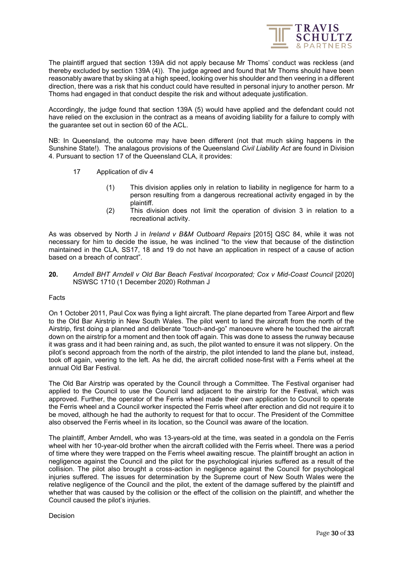

The plaintiff argued that section 139A did not apply because Mr Thoms' conduct was reckless (and thereby excluded by section 139A (4)). The judge agreed and found that Mr Thoms should have been reasonably aware that by skiing at a high speed, looking over his shoulder and then veering in a different direction, there was a risk that his conduct could have resulted in personal injury to another person. Mr Thoms had engaged in that conduct despite the risk and without adequate justification.

Accordingly, the judge found that section 139A (5) would have applied and the defendant could not have relied on the exclusion in the contract as a means of avoiding liability for a failure to comply with the guarantee set out in section 60 of the ACL.

NB: In Queensland, the outcome may have been different (not that much skiing happens in the Sunshine State!). The analagous provisions of the Queensland *Civil Liability Act* are found in Division 4. Pursuant to section 17 of the Queensland CLA, it provides:

- 17 Application of div 4
	- (1) This division applies only in relation to liability in negligence for harm to a person resulting from a dangerous recreational activity engaged in by the plaintiff.
	- (2) This division does not limit the operation of division 3 in relation to a recreational activity.

As was observed by North J in *Ireland v B&M Outboard Repairs* [2015] QSC 84, while it was not necessary for him to decide the issue, he was inclined "to the view that because of the distinction maintained in the CLA, SS17, 18 and 19 do not have an application in respect of a cause of action based on a breach of contract".

# <span id="page-29-0"></span>**20.** *Arndell BHT Arndell v Old Bar Beach Festival Incorporated; Cox v Mid-Coast Council* [2020] NSWSC 1710 (1 December 2020) Rothman J

# Facts

On 1 October 2011, Paul Cox was flying a light aircraft. The plane departed from Taree Airport and flew to the Old Bar Airstrip in New South Wales. The pilot went to land the aircraft from the north of the Airstrip, first doing a planned and deliberate "touch-and-go" manoeuvre where he touched the aircraft down on the airstrip for a moment and then took off again. This was done to assess the runway because it was grass and it had been raining and, as such, the pilot wanted to ensure it was not slippery. On the pilot's second approach from the north of the airstrip, the pilot intended to land the plane but, instead, took off again, veering to the left. As he did, the aircraft collided nose-first with a Ferris wheel at the annual Old Bar Festival.

The Old Bar Airstrip was operated by the Council through a Committee. The Festival organiser had applied to the Council to use the Council land adjacent to the airstrip for the Festival, which was approved. Further, the operator of the Ferris wheel made their own application to Council to operate the Ferris wheel and a Council worker inspected the Ferris wheel after erection and did not require it to be moved, although he had the authority to request for that to occur. The President of the Committee also observed the Ferris wheel in its location, so the Council was aware of the location.

The plaintiff, Amber Arndell, who was 13-years-old at the time, was seated in a gondola on the Ferris wheel with her 10-year-old brother when the aircraft collided with the Ferris wheel. There was a period of time where they were trapped on the Ferris wheel awaiting rescue. The plaintiff brought an action in negligence against the Council and the pilot for the psychological injuries suffered as a result of the collision. The pilot also brought a cross-action in negligence against the Council for psychological injuries suffered. The issues for determination by the Supreme court of New South Wales were the relative negligence of the Council and the pilot, the extent of the damage suffered by the plaintiff and whether that was caused by the collision or the effect of the collision on the plaintiff, and whether the Council caused the pilot's injuries.

Decision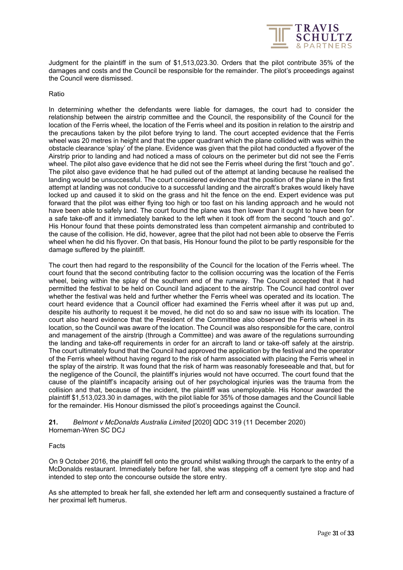

Judgment for the plaintiff in the sum of \$1,513,023.30. Orders that the pilot contribute 35% of the damages and costs and the Council be responsible for the remainder. The pilot's proceedings against the Council were dismissed.

# Ratio

In determining whether the defendants were liable for damages, the court had to consider the relationship between the airstrip committee and the Council, the responsibility of the Council for the location of the Ferris wheel, the location of the Ferris wheel and its position in relation to the airstrip and the precautions taken by the pilot before trying to land. The court accepted evidence that the Ferris wheel was 20 metres in height and that the upper quadrant which the plane collided with was within the obstacle clearance 'splay' of the plane. Evidence was given that the pilot had conducted a flyover of the Airstrip prior to landing and had noticed a mass of colours on the perimeter but did not see the Ferris wheel. The pilot also gave evidence that he did not see the Ferris wheel during the first "touch and go". The pilot also gave evidence that he had pulled out of the attempt at landing because he realised the landing would be unsuccessful. The court considered evidence that the position of the plane in the first attempt at landing was not conducive to a successful landing and the aircraft's brakes would likely have locked up and caused it to skid on the grass and hit the fence on the end. Expert evidence was put forward that the pilot was either flying too high or too fast on his landing approach and he would not have been able to safely land. The court found the plane was then lower than it ought to have been for a safe take-off and it immediately banked to the left when it took off from the second "touch and go". His Honour found that these points demonstrated less than competent airmanship and contributed to the cause of the collision. He did, however, agree that the pilot had not been able to observe the Ferris wheel when he did his flyover. On that basis, His Honour found the pilot to be partly responsible for the damage suffered by the plaintiff.

The court then had regard to the responsibility of the Council for the location of the Ferris wheel. The court found that the second contributing factor to the collision occurring was the location of the Ferris wheel, being within the splay of the southern end of the runway. The Council accepted that it had permitted the festival to be held on Council land adjacent to the airstrip. The Council had control over whether the festival was held and further whether the Ferris wheel was operated and its location. The court heard evidence that a Council officer had examined the Ferris wheel after it was put up and, despite his authority to request it be moved, he did not do so and saw no issue with its location. The court also heard evidence that the President of the Committee also observed the Ferris wheel in its location, so the Council was aware of the location. The Council was also responsible for the care, control and management of the airstrip (through a Committee) and was aware of the regulations surrounding the landing and take-off requirements in order for an aircraft to land or take-off safely at the airstrip. The court ultimately found that the Council had approved the application by the festival and the operator of the Ferris wheel without having regard to the risk of harm associated with placing the Ferris wheel in the splay of the airstrip. It was found that the risk of harm was reasonably foreseeable and that, but for the negligence of the Council, the plaintiff's injuries would not have occurred. The court found that the cause of the plaintiff's incapacity arising out of her psychological injuries was the trauma from the collision and that, because of the incident, the plaintiff was unemployable. His Honour awarded the plaintiff \$1,513,023.30 in damages, with the pilot liable for 35% of those damages and the Council liable for the remainder. His Honour dismissed the pilot's proceedings against the Council.

<span id="page-30-0"></span>**21.** *Belmont v McDonalds Australia Limited* [2020] QDC 319 (11 December 2020) Horneman-Wren SC DCJ

# Facts

On 9 October 2016, the plaintiff fell onto the ground whilst walking through the carpark to the entry of a McDonalds restaurant. Immediately before her fall, she was stepping off a cement tyre stop and had intended to step onto the concourse outside the store entry.

As she attempted to break her fall, she extended her left arm and consequently sustained a fracture of her proximal left humerus.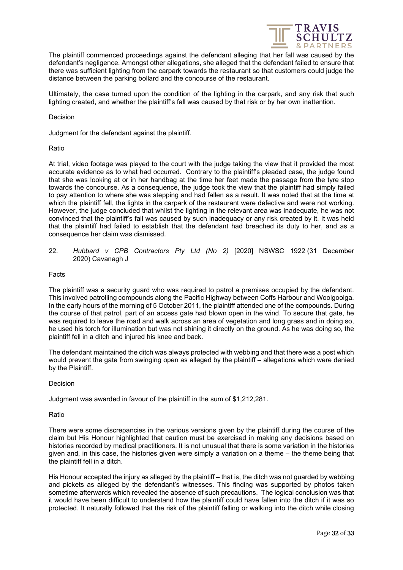

The plaintiff commenced proceedings against the defendant alleging that her fall was caused by the defendant's negligence. Amongst other allegations, she alleged that the defendant failed to ensure that there was sufficient lighting from the carpark towards the restaurant so that customers could judge the distance between the parking bollard and the concourse of the restaurant.

Ultimately, the case turned upon the condition of the lighting in the carpark, and any risk that such lighting created, and whether the plaintiff's fall was caused by that risk or by her own inattention.

Decision

Judgment for the defendant against the plaintiff.

# Ratio

At trial, video footage was played to the court with the judge taking the view that it provided the most accurate evidence as to what had occurred. Contrary to the plaintiff's pleaded case, the judge found that she was looking at or in her handbag at the time her feet made the passage from the tyre stop towards the concourse. As a consequence, the judge took the view that the plaintiff had simply failed to pay attention to where she was stepping and had fallen as a result. It was noted that at the time at which the plaintiff fell, the lights in the carpark of the restaurant were defective and were not working. However, the judge concluded that whilst the lighting in the relevant area was inadequate, he was not convinced that the plaintiff's fall was caused by such inadequacy or any risk created by it. It was held that the plaintiff had failed to establish that the defendant had breached its duty to her, and as a consequence her claim was dismissed.

<span id="page-31-0"></span>22. *Hubbard v CPB Contractors Pty Ltd (No 2)* [2020] NSWSC 1922 (31 December 2020) Cavanagh J

# Facts

The plaintiff was a security guard who was required to patrol a premises occupied by the defendant. This involved patrolling compounds along the Pacific Highway between Coffs Harbour and Woolgoolga. In the early hours of the morning of 5 October 2011, the plaintiff attended one of the compounds. During the course of that patrol, part of an access gate had blown open in the wind. To secure that gate, he was required to leave the road and walk across an area of vegetation and long grass and in doing so, he used his torch for illumination but was not shining it directly on the ground. As he was doing so, the plaintiff fell in a ditch and injured his knee and back.

The defendant maintained the ditch was always protected with webbing and that there was a post which would prevent the gate from swinging open as alleged by the plaintiff – allegations which were denied by the Plaintiff.

# Decision

Judgment was awarded in favour of the plaintiff in the sum of \$1,212,281.

# Ratio

There were some discrepancies in the various versions given by the plaintiff during the course of the claim but His Honour highlighted that caution must be exercised in making any decisions based on histories recorded by medical practitioners. It is not unusual that there is some variation in the histories given and, in this case, the histories given were simply a variation on a theme – the theme being that the plaintiff fell in a ditch.

His Honour accepted the injury as alleged by the plaintiff – that is, the ditch was not guarded by webbing and pickets as alleged by the defendant's witnesses. This finding was supported by photos taken sometime afterwards which revealed the absence of such precautions. The logical conclusion was that it would have been difficult to understand how the plaintiff could have fallen into the ditch if it was so protected. It naturally followed that the risk of the plaintiff falling or walking into the ditch while closing